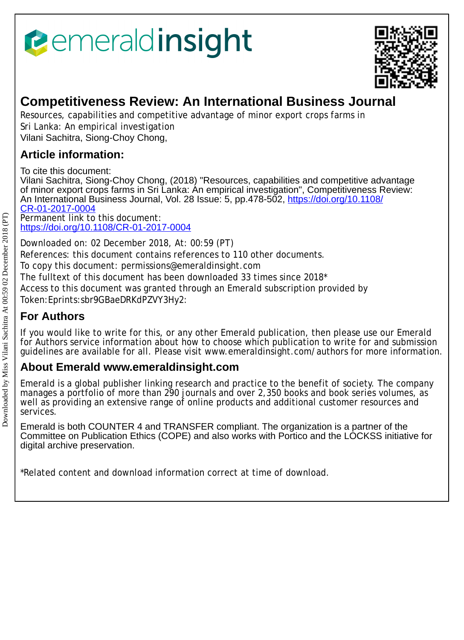# *<u><b>emeraldinsight</u>*



## **Competitiveness Review: An International Business Journal**

Resources, capabilities and competitive advantage of minor export crops farms in Sri Lanka: An empirical investigation Vilani Sachitra, Siong-Choy Chong,

### **Article information:**

To cite this document:

Vilani Sachitra, Siong-Choy Chong, (2018) "Resources, capabilities and competitive advantage of minor export crops farms in Sri Lanka: An empirical investigation", Competitiveness Review: An International Business Journal, Vol. 28 Issue: 5, pp.478-502, [https://doi.org/10.1108/](https://doi.org/10.1108/CR-01-2017-0004) [CR-01-2017-0004](https://doi.org/10.1108/CR-01-2017-0004) Permanent link to this document:

<https://doi.org/10.1108/CR-01-2017-0004>

Downloaded on: 02 December 2018, At: 00:59 (PT) References: this document contains references to 110 other documents.

To copy this document: permissions@emeraldinsight.com

The fulltext of this document has been downloaded 33 times since 2018\*

Access to this document was granted through an Emerald subscription provided by Token:Eprints:sbr9GBaeDRKdPZVY3Hy2:

## **For Authors**

If you would like to write for this, or any other Emerald publication, then please use our Emerald for Authors service information about how to choose which publication to write for and submission guidelines are available for all. Please visit www.emeraldinsight.com/authors for more information.

## **About Emerald www.emeraldinsight.com**

Emerald is a global publisher linking research and practice to the benefit of society. The company manages a portfolio of more than 290 journals and over 2,350 books and book series volumes, as well as providing an extensive range of online products and additional customer resources and services.

Emerald is both COUNTER 4 and TRANSFER compliant. The organization is a partner of the Committee on Publication Ethics (COPE) and also works with Portico and the LOCKSS initiative for digital archive preservation.

\*Related content and download information correct at time of download.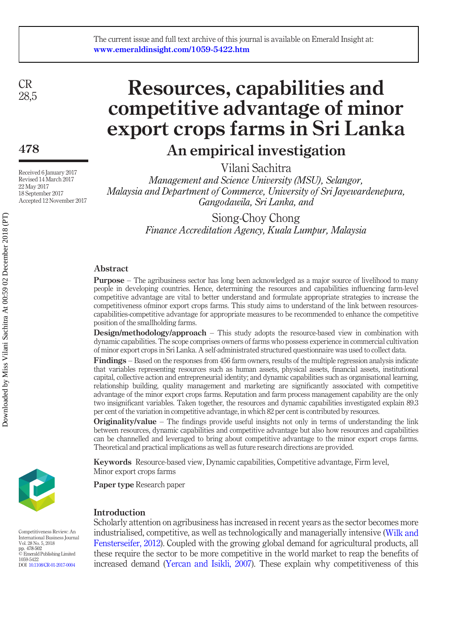CR 28,5

478

Received 6 January 2017 Revised 14 March 2017 22 May 2017 18 September 2017 Accepted 12 November 2017

## Resources, capabilities and competitive advantage of minor export crops farms in Sri Lanka

## An empirical investigation

Vilani Sachitra

Management and Science University (MSU), Selangor, Malaysia and Department of Commerce, University of Sri Jayewardenepura, Gangodawila, Sri Lanka, and

> Siong-Choy Chong Finance Accreditation Agency, Kuala Lumpur, Malaysia

#### Abstract

Purpose – The agribusiness sector has long been acknowledged as a major source of livelihood to many people in developing countries. Hence, determining the resources and capabilities influencing farm-level competitive advantage are vital to better understand and formulate appropriate strategies to increase the competitiveness ofminor export crops farms. This study aims to understand of the link between resourcescapabilities-competitive advantage for appropriate measures to be recommended to enhance the competitive position of the smallholding farms.

Design/methodology/approach – This study adopts the resource-based view in combination with dynamic capabilities. The scope comprises owners of farms who possess experience in commercial cultivation of minor export crops in Sri Lanka. A self-administrated structured questionnaire was used to collect data.

Findings – Based on the responses from 456 farm owners, results of the multiple regression analysis indicate that variables representing resources such as human assets, physical assets, financial assets, institutional capital, collective action and entrepreneurial identity; and dynamic capabilities such as organisational learning, relationship building, quality management and marketing are significantly associated with competitive advantage of the minor export crops farms. Reputation and farm process management capability are the only two insignificant variables. Taken together, the resources and dynamic capabilities investigated explain 89.3 per cent of the variation in competitive advantage, in which 82 per cent is contributed by resources.

**Originality/value** – The findings provide useful insights not only in terms of understanding the link between resources, dynamic capabilities and competitive advantage but also how resources and capabilities can be channelled and leveraged to bring about competitive advantage to the minor export crops farms. Theoretical and practical implications as well as future research directions are provided.

Keywords Resource-based view, Dynamic capabilities, Competitive advantage, Firm level, Minor export crops farms

Paper type Research paper

#### Introduction

Scholarly attention on agribusiness has increased in recent years as the sector becomes more industrialised, competitive, as well as technologically and managerially intensive ([Wilk and](#page-24-0) [Fensterseifer, 2012\)](#page-24-0). Coupled with the growing global demand for agricultural products, all these require the sector to be more competitive in the world market to reap the benefits of increased demand [\(Yercan and Isikli, 2007](#page-25-0)). These explain why competitiveness of this



Competitiveness Review: An International Business Journal Vol. 28 No. 5, 2018 pp. 478-502 © Emerald Publishing Limited 1059-5422 DOI [10.1108/CR-01-2017-0004](http://dx.doi.org/10.1108/CR-01-2017-0004)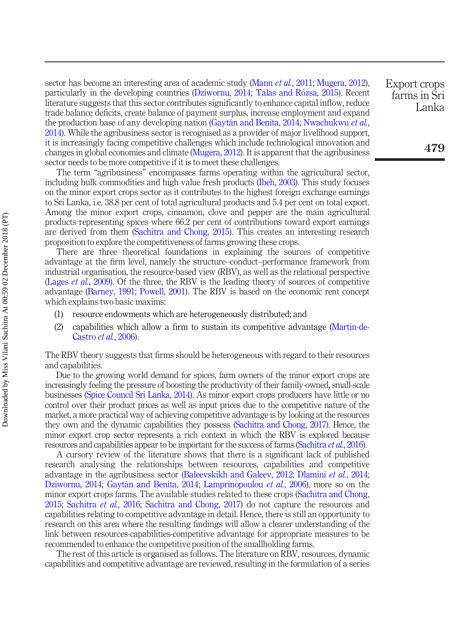sector has become an interesting area of academic study (Mann *et al.*[, 2011;](#page-22-0) [Mugera, 2012\)](#page-23-0), particularly in the developing countries ([Dziwornu, 2014;](#page-20-0) [Tálas and R](#page-24-1)ozsa, 2015). Recent literature suggests that this sector contributes significantly to enhance capital inflow, reduce trade balance deficits, create balance of payment surplus, increase employment and expand the production base of any developing nation ([Gaytán and Benita, 2014;](#page-21-0) [Nwachukwu](#page-23-1) et al., [2014\)](#page-23-1). While the agribusiness sector is recognised as a provider of major livelihood support, it is increasingly facing competitive challenges which include technological innovation and changes in global economies and climate ([Mugera, 2012\)](#page-23-0). It is apparent that the agribusiness sector needs to be more competitive if it is to meet these challenges.

The term "agribusiness" encompasses farms operating within the agricultural sector, including bulk commodities and high value fresh products [\(Ibeh, 2003](#page-21-1)). This study focuses on the minor export crops sector as it contributes to the highest foreign exchange earnings to Sri Lanka, i.e. 38.8 per cent of total agricultural products and 5.4 per cent on total export. Among the minor export crops, cinnamon, clove and pepper are the main agricultural products representing spices where 66.2 per cent of contributions toward export earnings are derived from them [\(Sachitra and Chong, 2015\)](#page-24-2). This creates an interesting research proposition to explore the competitiveness of farms growing these crops.

There are three theoretical foundations in explaining the sources of competitive advantage at the firm level, namely the structure–conduct–performance framework from industrial organisation, the resource-based view (RBV), as well as the relational perspective [\(Lages](#page-22-1) *et al.*, 2009). Of the three, the RBV is the leading theory of sources of competitive advantage [\(Barney, 1991;](#page-20-1) [Powell, 2001](#page-23-2)). The RBV is based on the economic rent concept which explains two basic maxims:

- (1) resource endowments which are heterogeneously distributed; and
- (2) capabilities which allow a firm to sustain its competitive advantage [\(Martin-de-](#page-22-2)[Castro](#page-22-2) et al., 2006).

The RBV theory suggests that firms should be heterogeneous with regard to their resources and capabilities.

Due to the growing world demand for spices, farm owners of the minor export crops are increasingly feeling the pressure of boosting the productivity of their family-owned, small-scale businesses [\(Spice Council Sri Lanka, 2014](#page-24-3)). As minor export crops producers have little or no control over their product prices as well as input prices due to the competitive nature of the market, a more practical way of achieving competitive advantage is by looking at the resources they own and the dynamic capabilities they possess [\(Sachitra and Chong, 2017\)](#page-24-4). Hence, the minor export crop sector represents a rich context in which the RBV is explored because resources and capabilities appear to be important for the success of farms [\(Sachitra](#page-24-5) et al., 2016).

A cursory review of the literature shows that there is a significant lack of published research analysing the relationships between resources, capabilities and competitive advantage in the agribusiness sector ([Baleevskikh and Galeev, 2012](#page-19-0); [Dlamini](#page-20-2) *et al.*, 2014; [Dziwornu, 2014](#page-20-0); [Gaytán and Benita, 2014](#page-21-0); [Lamprinopoulou](#page-22-3) *et al.*, 2006), more so on the minor export crops farms. The available studies related to these crops ([Sachitra and Chong,](#page-24-2) [2015;](#page-24-2) [Sachitra](#page-24-5) et al., 2016; [Sachitra and Chong, 2017\)](#page-24-4) do not capture the resources and capabilities relating to competitive advantage in detail. Hence, there is still an opportunity to research on this area where the resulting findings will allow a clearer understanding of the link between resources-capabilities-competitive advantage for appropriate measures to be recommended to enhance the competitive position of the smallholding farms.

The rest of this article is organised as follows. The literature on RBV, resources, dynamic capabilities and competitive advantage are reviewed, resulting in the formulation of a series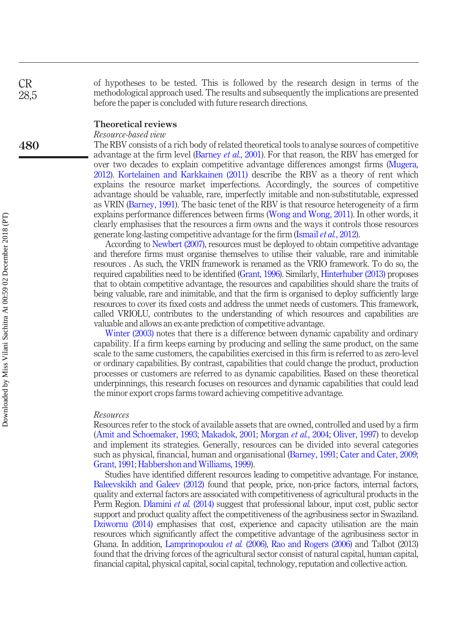of hypotheses to be tested. This is followed by the research design in terms of the methodological approach used. The results and subsequently the implications are presented before the paper is concluded with future research directions.

#### Theoretical reviews

#### Resource-based view

The RBV consists of a rich body of related theoretical tools to analyse sources of competitive advantage at the firm level ([Barney](#page-20-3) et al., 2001). For that reason, the RBV has emerged for over two decades to explain competitive advantage differences amongst firms ([Mugera,](#page-23-0) [2012](#page-23-0)). [Kortelainen and Karkkainen \(2011\)](#page-22-4) describe the RBV as a theory of rent which explains the resource market imperfections. Accordingly, the sources of competitive advantage should be valuable, rare, imperfectly imitable and non-substitutable, expressed as VRIN ([Barney, 1991](#page-20-1)). The basic tenet of the RBV is that resource heterogeneity of a firm explains performance differences between firms ([Wong and Wong, 2011\)](#page-25-1). In other words, it clearly emphasises that the resources a firm owns and the ways it controls those resources generate long-lasting competitive advantage for the firm [\(Ismail](#page-21-2) *et al.*, 2012).

According to [Newbert \(2007\),](#page-23-3) resources must be deployed to obtain competitive advantage and therefore firms must organise themselves to utilise their valuable, rare and inimitable resources . As such, the VRIN framework is renamed as the VRIO framework. To do so, the required capabilities need to be identified [\(Grant, 1996\)](#page-21-3). Similarly, [Hinterhuber \(2013\)](#page-21-4) proposes that to obtain competitive advantage, the resources and capabilities should share the traits of being valuable, rare and inimitable, and that the firm is organised to deploy sufficiently large resources to cover its fixed costs and address the unmet needs of customers. This framework, called VRIOLU, contributes to the understanding of which resources and capabilities are valuable and allows an ex-ante prediction of competitive advantage.

[Winter \(2003\)](#page-25-2) notes that there is a difference between dynamic capability and ordinary capability. If a firm keeps earning by producing and selling the same product, on the same scale to the same customers, the capabilities exercised in this firm is referred to as zero-level or ordinary capabilities. By contrast, capabilities that could change the product, production processes or customers are referred to as dynamic capabilities. Based on these theoretical underpinnings, this research focuses on resources and dynamic capabilities that could lead the minor export crops farms toward achieving competitive advantage.

#### Resources

Resources refer to the stock of available assets that are owned, controlled and used by a firm [\(Amit and Schoemaker, 1993;](#page-19-1) [Makadok, 2001;](#page-22-5) [Morgan](#page-22-6) et al., 2004; [Oliver, 1997](#page-23-4)) to develop and implement its strategies. Generally, resources can be divided into several categories such as physical, financial, human and organisational [\(Barney, 1991;](#page-20-1) [Cater and Cater, 2009;](#page-20-4) [Grant, 1991](#page-21-5); [Habbershon and Williams, 1999\)](#page-21-6).

Studies have identified different resources leading to competitive advantage. For instance, [Baleevskikh and](#page-19-0) Galeev (2012) found that people, price, non-price factors, internal factors, quality and external factors are associated with competitiveness of agricultural products in the Perm Region. [Dlamini](#page-20-2) *et al.* (2014) suggest that professional labour, input cost, public sector support and product quality affect the competitiveness of the agribusiness sector in Swaziland. [Dziwornu \(2014\)](#page-20-0) emphasises that cost, experience and capacity utilisation are the main resources which significantly affect the competitive advantage of the agribusiness sector in Ghana. In addition, [Lamprinopoulou](#page-22-3) et al. (2006), [Rao and Rogers \(2006\)](#page-23-5) and Talbot (2013) found that the driving forces of the agricultural sector consist of natural capital, human capital, financial capital, physical capital, social capital, technology, reputation and collective action.

CR 28,5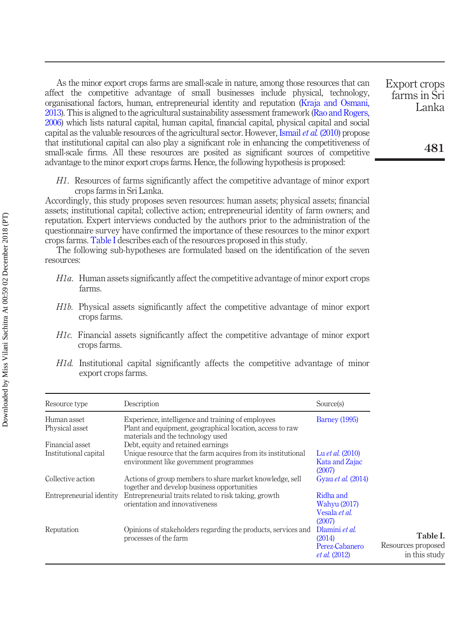As the minor export crops farms are small-scale in nature, among those resources that can affect the competitive advantage of small businesses include physical, technology, organisational factors, human, entrepreneurial identity and reputation [\(Kraja and Osmani,](#page-22-7) [2013\)](#page-22-7). This is aligned to the agricultural sustainability assessment framework ([Rao and Rogers,](#page-23-5) [2006\)](#page-23-5) which lists natural capital, human capital, financial capital, physical capital and social capital as the valuable resources of the agricultural sector. However, [Ismail](#page-21-7) et al. (2010) propose that institutional capital can also play a significant role in enhancing the competitiveness of small-scale firms. All these resources are posited as significant sources of competitive advantage to the minor export crops farms. Hence, the following hypothesis is proposed:

H1. Resources of farms significantly affect the competitive advantage of minor export crops farms in Sri Lanka.

Accordingly, this study proposes seven resources: human assets; physical assets; financial assets; institutional capital; collective action; entrepreneurial identity of farm owners; and reputation. Expert interviews conducted by the authors prior to the administration of the questionnaire survey have confirmed the importance of these resources to the minor export crops farms. [Table I](#page-4-0) describes each of the resources proposed in this study.

The following sub-hypotheses are formulated based on the identification of the seven resources:

- H1a. Human assets significantly affect the competitive advantage of minor export crops farms.
- H1b. Physical assets significantly affect the competitive advantage of minor export crops farms.
- H1c. Financial assets significantly affect the competitive advantage of minor export crops farms.
- H1d. Institutional capital significantly affects the competitive advantage of minor export crops farms.

<span id="page-4-0"></span>

| Resource type                 | Description                                                                                                                                          | Source(s)                                                          |                                                 |
|-------------------------------|------------------------------------------------------------------------------------------------------------------------------------------------------|--------------------------------------------------------------------|-------------------------------------------------|
| Human asset<br>Physical asset | Experience, intelligence and training of employees<br>Plant and equipment, geographical location, access to raw<br>materials and the technology used | <b>Barney</b> (1995)                                               |                                                 |
| Financial asset               | Debt, equity and retained earnings                                                                                                                   |                                                                    |                                                 |
| Institutional capital         | Unique resource that the farm acquires from its institutional<br>environment like government programmes                                              | Lu <i>et al.</i> (2010)<br>Kata and Zajac<br>(2007)                |                                                 |
| Collective action             | Actions of group members to share market knowledge, sell<br>together and develop business opportunities                                              | Gyau et al. (2014)                                                 |                                                 |
| Entrepreneurial identity      | Entrepreneurial traits related to risk taking, growth<br>orientation and innovativeness                                                              | Ridha and<br>Wahyu (2017)<br>Vesala et al.<br>(2007)               |                                                 |
| Reputation                    | Opinions of stakeholders regarding the products, services and<br>processes of the farm                                                               | Dlamini et al.<br>(2014)<br>Perez-Cabanero<br><i>et al.</i> (2012) | Table I.<br>Resources proposed<br>in this study |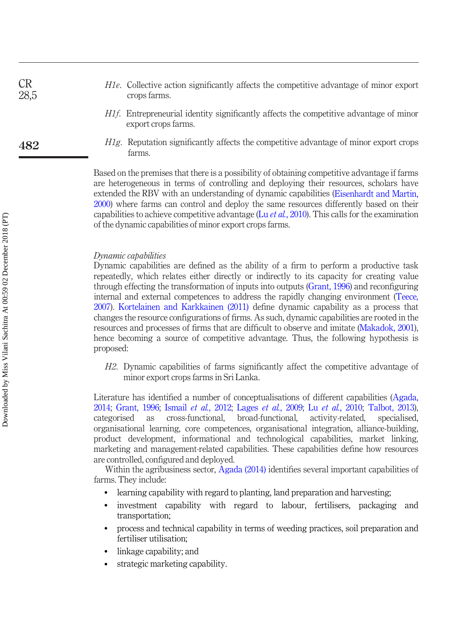- H<sub>1e</sub>. Collective action significantly affects the competitive advantage of minor export crops farms.
	- H1f. Entrepreneurial identity significantly affects the competitive advantage of minor export crops farms.
- H1g. Reputation significantly affects the competitive advantage of minor export crops farms.

Based on the premises that there is a possibility of obtaining competitive advantage if farms are heterogeneous in terms of controlling and deploying their resources, scholars have extended the RBV with an understanding of dynamic capabilities ([Eisenhardt and Martin,](#page-20-6) [2000](#page-20-6)) where farms can control and deploy the same resources differently based on their capabilities to achieve competitive advantage (Lu *et al.*[, 2010](#page-22-8)). This calls for the examination of the dynamic capabilities of minor export crops farms.

#### Dynamic capabilities

Dynamic capabilities are defined as the ability of a firm to perform a productive task repeatedly, which relates either directly or indirectly to its capacity for creating value through effecting the transformation of inputs into outputs [\(Grant, 1996](#page-21-3)) and reconfiguring internal and external competences to address the rapidly changing environment [\(Teece,](#page-24-7) [2007](#page-24-7)). [Kortelainen and Karkkainen \(2011\)](#page-22-4) define dynamic capability as a process that changes the resource configurations of firms. As such, dynamic capabilities are rooted in the resources and processes of firms that are difficult to observe and imitate ([Makadok, 2001\)](#page-22-5), hence becoming a source of competitive advantage. Thus, the following hypothesis is proposed:

H2. Dynamic capabilities of farms significantly affect the competitive advantage of minor export crops farms in Sri Lanka.

Literature has identified a number of conceptualisations of different capabilities ([Agada,](#page-19-2) [2014](#page-19-2); [Grant, 1996](#page-21-3); Ismail et al.[, 2012;](#page-21-2) Lages et al.[, 2009;](#page-22-1) Lu et al.[, 2010](#page-22-8); [Talbot, 2013\)](#page-24-8), categorised as cross-functional, broad-functional, activity-related, specialised, organisational learning, core competences, organisational integration, alliance-building, product development, informational and technological capabilities, market linking, marketing and management-related capabilities. These capabilities define how resources are controlled, configured and deployed.

Within the agribusiness sector, [Agada \(2014\)](#page-19-2) identifies several important capabilities of farms. They include:

- learning capability with regard to planting, land preparation and harvesting;
- investment capability with regard to labour, fertilisers, packaging and transportation;
- process and technical capability in terms of weeding practices, soil preparation and fertiliser utilisation;
- linkage capability; and
- strategic marketing capability.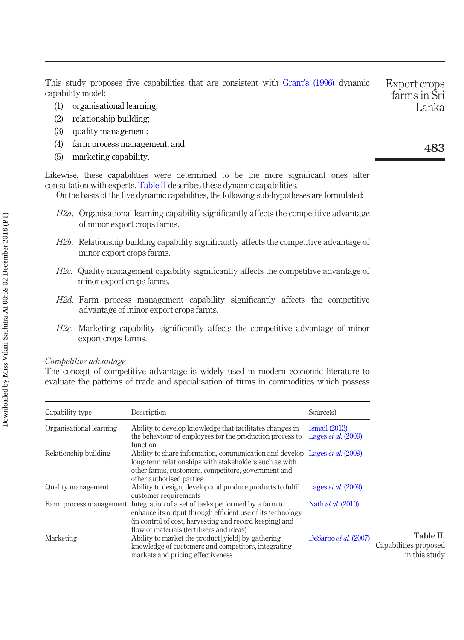This study proposes five capabilities that are consistent with Grant'[s \(1996\)](#page-21-3) dynamic capability model: Export crops farms in Sri

- (1) organisational learning;
- (2) relationship building;
- (3) quality management;
- (4) farm process management; and
- (5) marketing capability.

Likewise, these capabilities were determined to be the more significant ones after consultation with experts. [Table II](#page-6-0) describes these dynamic capabilities.

On the basis of the five dynamic capabilities, the following sub-hypotheses are formulated:

- H2a. Organisational learning capability significantly affects the competitive advantage of minor export crops farms.
- H<sub>2b</sub>. Relationship building capability significantly affects the competitive advantage of minor export crops farms.
- H2c. Quality management capability significantly affects the competitive advantage of minor export crops farms.
- H2d. Farm process management capability significantly affects the competitive advantage of minor export crops farms.
- H2e. Marketing capability significantly affects the competitive advantage of minor export crops farms.

#### Competitive advantage

The concept of competitive advantage is widely used in modern economic literature to evaluate the patterns of trade and specialisation of firms in commodities which possess

<span id="page-6-0"></span>

| Capability type         | Description                                                                                                                                                                                                                     | Source(s)                                        |                                                     |
|-------------------------|---------------------------------------------------------------------------------------------------------------------------------------------------------------------------------------------------------------------------------|--------------------------------------------------|-----------------------------------------------------|
| Organisational learning | Ability to develop knowledge that facilitates changes in<br>the behaviour of employees for the production process to<br>function                                                                                                | I <sub>small</sub> (2013)<br>Lages et al. (2009) |                                                     |
| Relationship building   | Ability to share information, communication and develop Lages <i>et al.</i> (2009)<br>long-term relationships with stakeholders such as with<br>other farms, customers, competitors, government and<br>other authorised parties |                                                  |                                                     |
| Quality management      | Ability to design, develop and produce products to fulfil<br>customer requirements                                                                                                                                              | Lages <i>et al.</i> (2009)                       |                                                     |
| Farm process management | Integration of a set of tasks performed by a farm to<br>enhance its output through efficient use of its technology<br>(in control of cost, harvesting and record keeping) and<br>flow of materials (fertilizers and ideas)      | Nath <i>et al.</i> (2010)                        |                                                     |
| Marketing               | Ability to market the product [yield] by gathering<br>knowledge of customers and competitors, integrating<br>markets and pricing effectiveness                                                                                  | DeSarbo et al. (2007)                            | Table II.<br>Capabilities proposed<br>in this study |

483

Lanka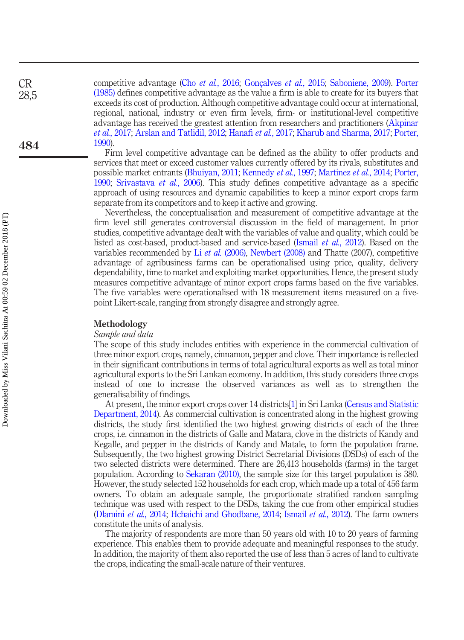competitive advantage (Cho et al.[, 2016](#page-20-8); [Gonçalves](#page-21-10) et al., 2015; [Saboniene, 2009](#page-23-9)). [Porter](#page-23-10) [\(1985\)](#page-23-10) defines competitive advantage as the value a firm is able to create for its buyers that exceeds its cost of production. Although competitive advantage could occur at international, regional, national, industry or even firm levels, firm- or institutional-level competitive advantage has received the greatest attention from researchers and practitioners [\(Akpinar](#page-19-3) et al.[, 2017](#page-21-11); [Arslan and Tatlidil, 2012](#page-19-4); Hanafi et al., 2017; [Kharub and Sharma, 2017](#page-22-10); [Porter,](#page-23-11) [1990](#page-23-11)).

Firm level competitive advantage can be defined as the ability to offer products and services that meet or exceed customer values currently offered by its rivals, substitutes and possible market entrants [\(Bhuiyan, 2011](#page-20-9); [Kennedy](#page-22-11) et al., 1997; [Martinez](#page-22-12) et al., 2014; [Porter,](#page-23-11) [1990](#page-23-11); [Srivastava](#page-24-9) et al., 2006). This study defines competitive advantage as a specific approach of using resources and dynamic capabilities to keep a minor export crops farm separate from its competitors and to keep it active and growing.

Nevertheless, the conceptualisation and measurement of competitive advantage at the firm level still generates controversial discussion in the field of management. In prior studies, competitive advantage dealt with the variables of value and quality, which could be listed as cost-based, product-based and service-based (Ismail et al.[, 2012\)](#page-21-2). Based on the variables recommended by Li et al. [\(2006\)](#page-22-13), [Newbert \(2008\)](#page-23-12) and Thatte (2007), competitive advantage of agribusiness farms can be operationalised using price, quality, delivery dependability, time to market and exploiting market opportunities. Hence, the present study measures competitive advantage of minor export crops farms based on the five variables. The five variables were operationalised with 18 measurement items measured on a fivepoint Likert-scale, ranging from strongly disagree and strongly agree.

#### Methodology

#### Sample and data

The scope of this study includes entities with experience in the commercial cultivation of three minor export crops, namely, cinnamon, pepper and clove. Their importance is reflected in their significant contributions in terms of total agricultural exports as well as total minor agricultural exports to the Sri Lankan economy. In addition, this study considers three crops instead of one to increase the observed variances as well as to strengthen the generalisability of findings.

At present, the minor export crops cover 14 districts[\[1\]](#page-19-5) in Sri Lanka [\(Census and Statistic](#page-20-10) [Department, 2014\)](#page-20-10). As commercial cultivation is concentrated along in the highest growing districts, the study first identified the two highest growing districts of each of the three crops, i.e. cinnamon in the districts of Galle and Matara, clove in the districts of Kandy and Kegalle, and pepper in the districts of Kandy and Matale, to form the population frame. Subsequently, the two highest growing District Secretarial Divisions (DSDs) of each of the two selected districts were determined. There are 26,413 households (farms) in the target population. According to [Sekaran \(2010\)](#page-24-10), the sample size for this target population is 380. However, the study selected 152 households for each crop, which made up a total of 456 farm owners. To obtain an adequate sample, the proportionate stratified random sampling technique was used with respect to the DSDs, taking the cue from other empirical studies [\(Dlamini](#page-20-2) et al., 2014; [Hchaichi and Ghodbane, 2014](#page-21-12); [Ismail](#page-21-2) et al., 2012). The farm owners constitute the units of analysis.

The majority of respondents are more than 50 years old with 10 to 20 years of farming experience. This enables them to provide adequate and meaningful responses to the study. In addition, the majority of them also reported the use of less than 5 acres of land to cultivate the crops, indicating the small-scale nature of their ventures.

CR 28,5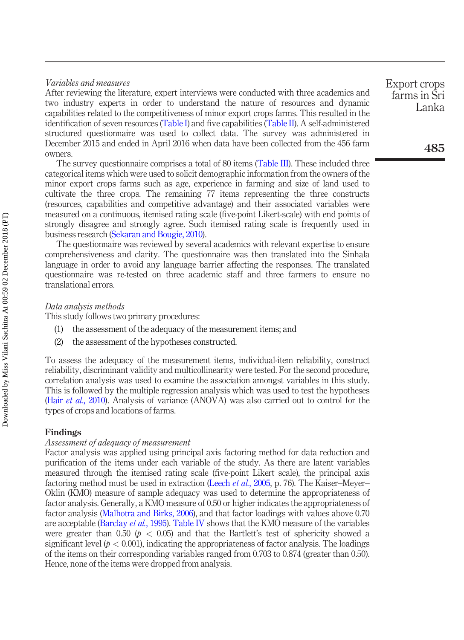#### Variables and measures

After reviewing the literature, expert interviews were conducted with three academics and two industry experts in order to understand the nature of resources and dynamic capabilities related to the competitiveness of minor export crops farms. This resulted in the identification of seven resources [\(Table I](#page-4-0)) and five capabilities [\(Table II](#page-6-0)). A self-administered structured questionnaire was used to collect data. The survey was administered in December 2015 and ended in April 2016 when data have been collected from the 456 farm owners.

The survey questionnaire comprises a total of 80 items ([Table III\)](#page-9-0). These included three categorical items which were used to solicit demographic information from the owners of the minor export crops farms such as age, experience in farming and size of land used to cultivate the three crops. The remaining 77 items representing the three constructs (resources, capabilities and competitive advantage) and their associated variables were measured on a continuous, itemised rating scale (five-point Likert-scale) with end points of strongly disagree and strongly agree. Such itemised rating scale is frequently used in business research ([Sekaran and Bougie, 2010](#page-24-11)).

The questionnaire was reviewed by several academics with relevant expertise to ensure comprehensiveness and clarity. The questionnaire was then translated into the Sinhala language in order to avoid any language barrier affecting the responses. The translated questionnaire was re-tested on three academic staff and three farmers to ensure no translational errors.

#### Data analysis methods

This study follows two primary procedures:

- (1) the assessment of the adequacy of the measurement items; and
- (2) the assessment of the hypotheses constructed.

To assess the adequacy of the measurement items, individual-item reliability, construct reliability, discriminant validity and multicollinearity were tested. For the second procedure, correlation analysis was used to examine the association amongst variables in this study. This is followed by the multiple regression analysis which was used to test the hypotheses (Hair *et al.*[, 2010\)](#page-21-13). Analysis of variance (ANOVA) was also carried out to control for the types of crops and locations of farms.

#### Findings

#### Assessment of adequacy of measurement

Factor analysis was applied using principal axis factoring method for data reduction and purification of the items under each variable of the study. As there are latent variables measured through the itemised rating scale (five-point Likert scale), the principal axis factoring method must be used in extraction (Leech *et al.*[, 2005](#page-22-14), p. 76). The Kaiser–Meyer– Oklin (KMO) measure of sample adequacy was used to determine the appropriateness of factor analysis. Generally, a KMO measure of 0.50 or higher indicates the appropriateness of factor analysis ([Malhotra and Birks, 2006](#page-22-15)), and that factor loadings with values above 0.70 are acceptable [\(Barclay](#page-20-11) et al., 1995). [Table IV](#page-11-0) shows that the KMO measure of the variables were greater than 0.50 ( $p < 0.05$ ) and that the Bartlett's test of sphericity showed a significant level ( $p < 0.001$ ), indicating the appropriateness of factor analysis. The loadings of the items on their corresponding variables ranged from 0.703 to 0.874 (greater than 0.50). Hence, none of the items were dropped from analysis.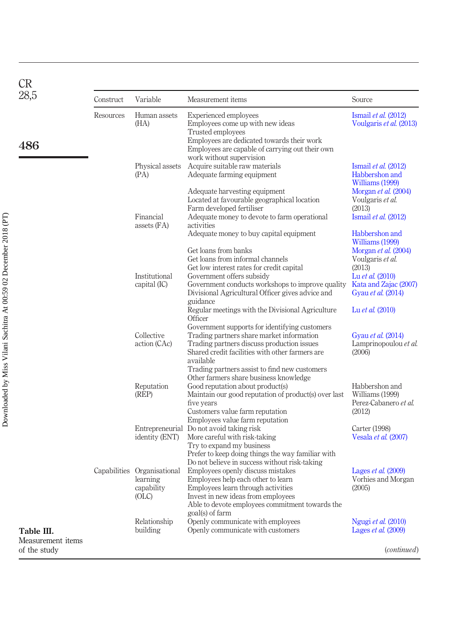<span id="page-9-0"></span>

| <b>CR</b>                                       |           |                                                                          |                                                                                                                                                                                                                                                                         |                                                                                                                       |
|-------------------------------------------------|-----------|--------------------------------------------------------------------------|-------------------------------------------------------------------------------------------------------------------------------------------------------------------------------------------------------------------------------------------------------------------------|-----------------------------------------------------------------------------------------------------------------------|
| 28,5                                            | Construct | Variable                                                                 | Measurement items                                                                                                                                                                                                                                                       | Source                                                                                                                |
| 486                                             | Resources | Human assets<br>(HA)                                                     | <b>Experienced</b> employees<br>Employees come up with new ideas<br>Trusted employees<br>Employees are dedicated towards their work<br>Employees are capable of carrying out their own                                                                                  | Ismail $et$ al. $(2012)$<br>Voulgaris et al. (2013)                                                                   |
|                                                 |           | Physical assets<br>(PA)                                                  | work without supervision<br>Acquire suitable raw materials<br>Adequate farming equipment                                                                                                                                                                                | Ismail et al. $(2012)$<br>Habbershon and<br>Williams (1999)                                                           |
|                                                 |           | Financial<br>assets $(FA)$                                               | Adequate harvesting equipment<br>Located at favourable geographical location<br>Farm developed fertiliser<br>Adequate money to devote to farm operational<br>activities                                                                                                 | Morgan et al. (2004)<br>Voulgaris et al.<br>(2013)<br>Ismail et al. $(2012)$                                          |
|                                                 |           |                                                                          | Adequate money to buy capital equipment                                                                                                                                                                                                                                 | Habbershon and<br>Williams (1999)                                                                                     |
|                                                 |           | Institutional<br>capital $(IC)$                                          | Get loans from banks<br>Get loans from informal channels<br>Get low interest rates for credit capital<br>Government offers subsidy<br>Government conducts workshops to improve quality<br>Divisional Agricultural Officer gives advice and<br>guidance                  | Morgan et al. (2004)<br>Voulgaris et al.<br>(2013)<br>Lu et al. (2010)<br>Kata and Zajac (2007)<br>Gyau et al. (2014) |
|                                                 |           | Collective<br>action (CAc)                                               | Regular meetings with the Divisional Agriculture<br>Officer<br>Government supports for identifying customers<br>Trading partners share market information<br>Trading partners discuss production issues<br>Shared credit facilities with other farmers are<br>available | Lu et al. (2010)<br>Gyau et al. (2014)<br>Lamprinopoulou et al.<br>(2006)                                             |
|                                                 |           | Reputation<br>(REP)                                                      | Trading partners assist to find new customers<br>Other farmers share business knowledge<br>Good reputation about product(s)<br>Maintain our good reputation of product(s) over last<br>five years<br>Customers value farm reputation<br>Employees value farm reputation | Habbershon and<br>Williams (1999)<br>Perez-Cabanero et al.<br>(2012)                                                  |
|                                                 |           | identity (ENT)                                                           | Entrepreneurial Do not avoid taking risk<br>More careful with risk-taking<br>Try to expand my business<br>Prefer to keep doing things the way familiar with                                                                                                             | Carter (1998)<br>Vesala et al. (2007)                                                                                 |
|                                                 |           | Capabilities Organisational<br>learning<br>capability<br>O <sub>CL</sub> | Do not believe in success without risk-taking<br>Employees openly discuss mistakes<br>Employees help each other to learn<br>Employees learn through activities<br>Invest in new ideas from employees<br>Able to devote employees commitment towards the                 | Lages <i>et al.</i> (2009)<br>Vorhies and Morgan<br>(2005)                                                            |
| Table III.<br>Measurement items<br>of the study |           | Relationship<br>building                                                 | goal(s) of farm<br>Openly communicate with employees<br>Openly communicate with customers                                                                                                                                                                               | Ngugi et al. (2010)<br>Lages <i>et al.</i> (2009)<br>( <i>continued</i> )                                             |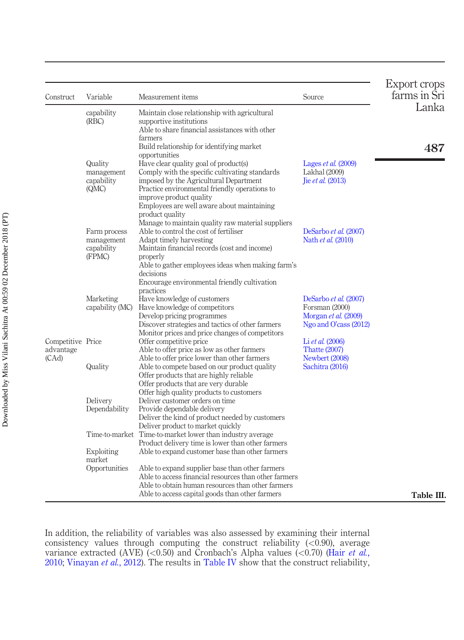| Construct                               | Variable                                           | Measurement items                                                                                                                                                                                                                                                                                                                                       | Source                                                                                   | Export crops<br>farms in Sri |
|-----------------------------------------|----------------------------------------------------|---------------------------------------------------------------------------------------------------------------------------------------------------------------------------------------------------------------------------------------------------------------------------------------------------------------------------------------------------------|------------------------------------------------------------------------------------------|------------------------------|
|                                         | capability<br>(RBC)                                | Maintain close relationship with agricultural<br>supportive institutions<br>Able to share financial assistances with other                                                                                                                                                                                                                              |                                                                                          | Lanka                        |
|                                         | Quality<br>management<br>capability<br>(QMC)       | farmers<br>Build relationship for identifying market<br>opportunities<br>Have clear quality goal of product(s)<br>Comply with the specific cultivating standards<br>imposed by the Agricultural Department<br>Practice environmental friendly operations to<br>improve product quality<br>Employees are well aware about maintaining<br>product quality | Lages <i>et al.</i> (2009)<br>Lakhal (2009)<br>lie <i>et al.</i> $(2013)$                | 487                          |
|                                         | Farm process<br>management<br>capability<br>(FPMC) | Manage to maintain quality raw material suppliers<br>Able to control the cost of fertiliser<br>Adapt timely harvesting<br>Maintain financial records (cost and income)<br>properly<br>Able to gather employees ideas when making farm's<br>decisions<br>Encourage environmental friendly cultivation                                                    | DeSarbo et al. (2007)<br>Nath et al. (2010)                                              |                              |
|                                         | Marketing<br>capability (MC)                       | practices<br>Have knowledge of customers<br>Have knowledge of competitors<br>Develop pricing programmes<br>Discover strategies and tactics of other farmers<br>Monitor prices and price changes of competitors                                                                                                                                          | DeSarbo et al. (2007)<br>Forsman (2000)<br>Morgan et al. (2009)<br>Ngo and O'cass (2012) |                              |
| Competitive Price<br>advantage<br>(CAd) |                                                    | Offer competitive price<br>Able to offer price as low as other farmers<br>Able to offer price lower than other farmers                                                                                                                                                                                                                                  | Li et al. (2006)<br><b>Thatte (2007)</b><br>Newbert (2008)                               |                              |
|                                         | Quality                                            | Able to compete based on our product quality<br>Offer products that are highly reliable<br>Offer products that are very durable<br>Offer high quality products to customers                                                                                                                                                                             | Sachitra (2016)                                                                          |                              |
|                                         | Delivery<br>Dependability                          | Deliver customer orders on time<br>Provide dependable delivery<br>Deliver the kind of product needed by customers<br>Deliver product to market quickly                                                                                                                                                                                                  |                                                                                          |                              |
|                                         | Time-to-market<br>Exploiting                       | Time-to-market lower than industry average<br>Product delivery time is lower than other farmers<br>Able to expand customer base than other farmers                                                                                                                                                                                                      |                                                                                          |                              |
|                                         | market<br>Opportunities                            | Able to expand supplier base than other farmers<br>Able to access financial resources than other farmers<br>Able to obtain human resources than other farmers<br>Able to access capital goods than other farmers                                                                                                                                        |                                                                                          | Table III.                   |

In addition, the reliability of variables was also assessed by examining their internal consistency values through computing the construct reliability  $(<0.90$ ), average variance extracted (AVE) (<0.50) and Cronbach's Alpha values (<0.70) (Hair [et al.](#page-21-13), [2010;](#page-21-13) [Vinayan](#page-24-13) et al., 2012). The results in [Table IV](#page-11-0) show that the construct reliability,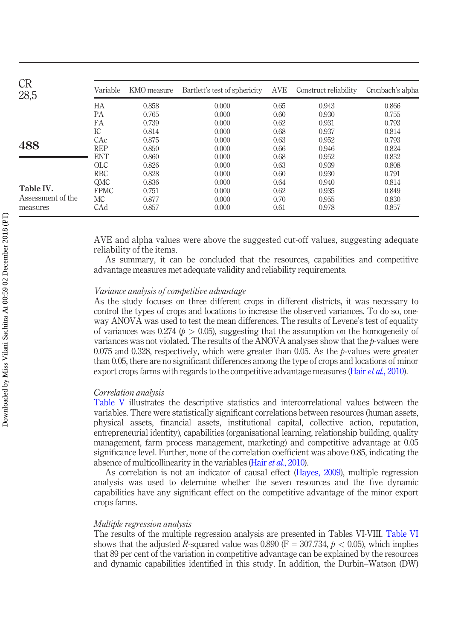| <b>CR</b><br>28,5 | Variable        | KMO measure | Bartlett's test of sphericity | AVE  | Construct reliability | Cronbach's alpha |
|-------------------|-----------------|-------------|-------------------------------|------|-----------------------|------------------|
|                   | HA              | 0.858       | 0.000                         | 0.65 | 0.943                 | 0.866            |
|                   | <b>PA</b>       | 0.765       | 0.000                         | 0.60 | 0.930                 | 0.755            |
|                   | FA              | 0.739       | 0.000                         | 0.62 | 0.931                 | 0.793            |
|                   | IC.             | 0.814       | 0.000                         | 0.68 | 0.937                 | 0.814            |
|                   | CAc             | 0.875       | 0.000                         | 0.63 | 0.952                 | 0.793            |
| 488               | <b>REP</b>      | 0.850       | 0.000                         | 0.66 | 0.946                 | 0.824            |
|                   | <b>ENT</b>      | 0.860       | 0.000                         | 0.68 | 0.952                 | 0.832            |
|                   | $_{\text{OLC}}$ | 0.826       | 0.000                         | 0.63 | 0.939                 | 0.808            |
|                   | <b>RBC</b>      | 0.828       | 0.000                         | 0.60 | 0.930                 | 0.791            |
|                   | QMC             | 0.836       | 0.000                         | 0.64 | 0.940                 | 0.814            |
| Table IV.         | <b>FPMC</b>     | 0.751       | 0.000                         | 0.62 | 0.935                 | 0.849            |
| Assessment of the | <b>MC</b>       | 0.877       | 0.000                         | 0.70 | 0.955                 | 0.830            |
| measures          | CAd             | 0.857       | 0.000                         | 0.61 | 0.978                 | 0.857            |

<span id="page-11-0"></span>AVE and alpha values were above the suggested cut-off values, suggesting adequate reliability of the items.

As summary, it can be concluded that the resources, capabilities and competitive advantage measures met adequate validity and reliability requirements.

#### Variance analysis of competitive advantage

As the study focuses on three different crops in different districts, it was necessary to control the types of crops and locations to increase the observed variances. To do so, oneway ANOVA was used to test the mean differences. The results of Levene's test of equality of variances was 0.274 ( $p > 0.05$ ), suggesting that the assumption on the homogeneity of variances was not violated. The results of the ANOVA analyses show that the  $p$ -values were 0.075 and 0.328, respectively, which were greater than 0.05. As the p-values were greater than 0.05, there are no significant differences among the type of crops and locations of minor export crops farms with regards to the competitive advantage measures (Hair et al.[, 2010\)](#page-21-13).

#### Correlation analysis

[Table V](#page-12-0) illustrates the descriptive statistics and intercorrelational values between the variables. There were statistically significant correlations between resources (human assets, physical assets, financial assets, institutional capital, collective action, reputation, entrepreneurial identity), capabilities (organisational learning, relationship building, quality management, farm process management, marketing) and competitive advantage at 0.05 significance level. Further, none of the correlation coefficient was above 0.85, indicating the absence of multicollinearity in the variables (Hair *et al.*[, 2010\)](#page-21-13).

As correlation is not an indicator of causal effect [\(Hayes, 2009](#page-21-15)), multiple regression analysis was used to determine whether the seven resources and the five dynamic capabilities have any significant effect on the competitive advantage of the minor export crops farms.

#### Multiple regression analysis

The results of the multiple regression analysis are presented in Tables VI-VIII. [Table VI](#page-12-1) shows that the adjusted R-squared value was 0.890 (F = 307.734,  $p < 0.05$ ), which implies that 89 per cent of the variation in competitive advantage can be explained by the resources and dynamic capabilities identified in this study. In addition, the Durbin–Watson (DW)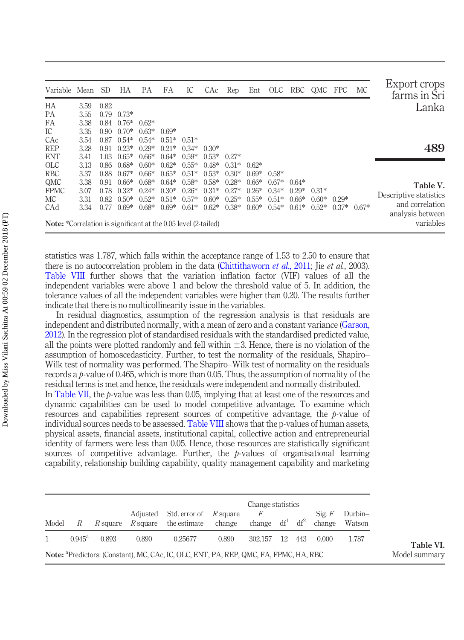| Variable Mean SD                                                      |      |      | НA                 | РA      | FA            | IC      | CAc     | Rep     |         |         |         | Ent OLC RBC QMC FPC |         | MC      | Export crops<br>farms in Sri  |
|-----------------------------------------------------------------------|------|------|--------------------|---------|---------------|---------|---------|---------|---------|---------|---------|---------------------|---------|---------|-------------------------------|
| HA                                                                    | 3.59 | 0.82 |                    |         |               |         |         |         |         |         |         |                     |         |         | Lanka                         |
| <b>PA</b>                                                             | 3.55 |      | $0.79 \quad 0.73*$ |         |               |         |         |         |         |         |         |                     |         |         |                               |
| FA                                                                    | 3.38 |      | $0.84$ $0.76*$     | $0.62*$ |               |         |         |         |         |         |         |                     |         |         |                               |
| IC                                                                    | 3.35 |      | $0.90 \quad 0.70*$ | $0.63*$ | $0.69*$       |         |         |         |         |         |         |                     |         |         |                               |
| CAc                                                                   | 3.54 |      | $0.87$ $0.54*$     | $0.54*$ | $0.51*$ 0.51* |         |         |         |         |         |         |                     |         |         |                               |
| <b>REP</b>                                                            | 3.28 | 0.91 | $0.23*$            | $0.29*$ | $0.21*$       | $0.34*$ | $0.30*$ |         |         |         |         |                     |         |         | 489                           |
| <b>ENT</b>                                                            | 3.41 | 1.03 | $0.65*$            | $0.66*$ | $0.64*$       | $0.59*$ | $0.53*$ | $0.27*$ |         |         |         |                     |         |         |                               |
| <b>OLC</b>                                                            | 3.13 | 0.86 | $0.68*$            | $0.60*$ | $0.62*$       | $0.55*$ | $0.48*$ | $0.31*$ | $0.62*$ |         |         |                     |         |         |                               |
| <b>RBC</b>                                                            | 3.37 | 0.88 | $0.67*$            | $0.66*$ | $0.65*$       | $0.51*$ | $0.53*$ | $0.30*$ | $0.69*$ | $0.58*$ |         |                     |         |         |                               |
| QMC                                                                   | 3.38 | 0.91 | $0.66*$            | $0.68*$ | $0.64*$       | $0.58*$ | $0.58*$ | $0.28*$ | $066*$  | $0.67*$ | $0.64*$ |                     |         |         | Table V.                      |
| <b>FPMC</b>                                                           | 3.07 | 0.78 | $0.32*$            | $0.24*$ | $0.30*$       | $0.26*$ | $0.31*$ | $0.27*$ | $0.26*$ | $0.34*$ | $0.29*$ | $0.31*$             |         |         |                               |
| МC                                                                    | 3.31 | 0.82 | $0.50*$            | $0.52*$ | $0.51*$       | $0.57*$ | $0.60*$ | $0.25*$ | $0.55*$ | $0.51*$ | $0.66*$ | $0.60*$             | $0.29*$ |         | Descriptive statistics        |
| CAd                                                                   | 3.34 | 0.77 | $0.69*$            | $0.68*$ | $0.69*$       | $0.61*$ | $0.62*$ | $0.38*$ | $0.60*$ | $0.54*$ | $0.61*$ | $0.52*$             | $0.37*$ | $0.67*$ | and correlation               |
| <b>Note:</b> *Correlation is significant at the 0.05 level (2-tailed) |      |      |                    |         |               |         |         |         |         |         |         |                     |         |         | analysis between<br>variables |

<span id="page-12-0"></span>statistics was 1.787, which falls within the acceptance range of 1.53 to 2.50 to ensure that there is no autocorrelation problem in the data ([Chittithaworn](#page-20-12) *et al.*, 2011; Jie *et al.*, 2003). [Table VIII](#page-13-0) further shows that the variation inflation factor (VIF) values of all the independent variables were above 1 and below the threshold value of 5. In addition, the tolerance values of all the independent variables were higher than 0.20. The results further indicate that there is no multicollinearity issue in the variables.

In residual diagnostics, assumption of the regression analysis is that residuals are independent and distributed normally, with a mean of zero and a constant variance ([Garson,](#page-21-16) [2012\)](#page-21-16). In the regression plot of standardised residuals with the standardised predicted value, all the points were plotted randomly and fell within  $\pm 3$ . Hence, there is no violation of the assumption of homoscedasticity. Further, to test the normality of the residuals, Shapiro– Wilk test of normality was performed. The Shapiro–Wilk test of normality on the residuals records a  $p$ -value of 0.465, which is more than 0.05. Thus, the assumption of normality of the residual terms is met and hence, the residuals were independent and normally distributed. In [Table VII,](#page-13-1) the  $p$ -value was less than 0.05, implying that at least one of the resources and

dynamic capabilities can be used to model competitive advantage. To examine which resources and capabilities represent sources of competitive advantage, the p-value of individual sources needs to be assessed. [Table VIII](#page-13-0) shows that the p-values of human assets, physical assets, financial assets, institutional capital, collective action and entrepreneurial identity of farmers were less than 0.05. Hence, those resources are statistically significant sources of competitive advantage. Further, the p-values of organisational learning capability, relationship building capability, quality management capability and marketing

<span id="page-12-1"></span>

|       |                 |          |       | Adjusted Std. error of $R$ square                                                                 |        | Change statistics<br>F |    |     | $\mathrm{Sig.} F$ | Durbin- |               |
|-------|-----------------|----------|-------|---------------------------------------------------------------------------------------------------|--------|------------------------|----|-----|-------------------|---------|---------------|
| Model | R               | R square |       | R square the estimate                                                                             | change | change $df^1 df^2$     |    |     | change            | Watson  |               |
|       | $0.945^{\rm a}$ | 0.893    | 0.890 | 0.25677                                                                                           | 0.890  | 302.157                | 12 | 443 | 0.000             | 1.787   | Table VI.     |
|       |                 |          |       | Note: <sup>a</sup> Predictors: (Constant), MC, CAc, IC, OLC, ENT, PA, REP, QMC, FA, FPMC, HA, RBC |        |                        |    |     |                   |         | Model summary |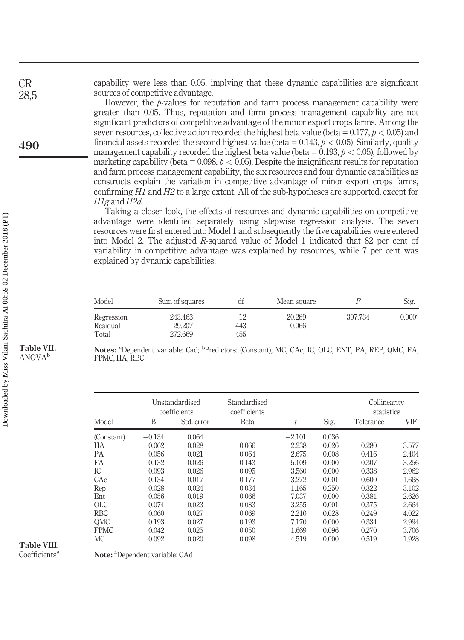capability were less than 0.05, implying that these dynamic capabilities are significant sources of competitive advantage.

However, the  $p$ -values for reputation and farm process management capability were greater than 0.05. Thus, reputation and farm process management capability are not significant predictors of competitive advantage of the minor export crops farms. Among the seven resources, collective action recorded the highest beta value (beta =  $0.177, p < 0.05$ ) and financial assets recorded the second highest value (beta =  $0.143$ ,  $p < 0.05$ ). Similarly, quality management capability recorded the highest beta value (beta =  $0.193$ ,  $p < 0.05$ ), followed by marketing capability (beta =  $0.098$ ,  $p < 0.05$ ). Despite the insignificant results for reputation and farm process management capability, the six resources and four dynamic capabilities as constructs explain the variation in competitive advantage of minor export crops farms, confirming  $H1$  and  $H2$  to a large extent. All of the sub-hypotheses are supported, except for H1g and H2d.

Taking a closer look, the effects of resources and dynamic capabilities on competitive advantage were identified separately using stepwise regression analysis. The seven resources were first entered into Model 1 and subsequently the five capabilities were entered into Model 2. The adjusted R-squared value of Model 1 indicated that 82 per cent of variability in competitive advantage was explained by resources, while 7 per cent was explained by dynamic capabilities.

| Model                           | Sum of squares               | df               | Mean square     |         | Sig.               |
|---------------------------------|------------------------------|------------------|-----------------|---------|--------------------|
| Regression<br>Residual<br>Total | 243.463<br>29.207<br>272.669 | 12<br>443<br>455 | 20.289<br>0.066 | 307.734 | 0.000 <sup>a</sup> |

Notes: <sup>a</sup>Dependent variable: Cad; <sup>b</sup>Predictors: (Constant), MC, CAc, IC, OLC, ENT, PA, REP, QMC, FA, FPMC, HA, RBC

|                   |          | Unstandardised<br>coefficients | Standardised<br>coefficients |          |       | Collinearity<br>statistics |       |
|-------------------|----------|--------------------------------|------------------------------|----------|-------|----------------------------|-------|
| Model             | B        | Std. error                     | Beta                         | t        | Sig.  | Tolerance                  | VIF   |
| (Constant)        | $-0.134$ | 0.064                          |                              | $-2.101$ | 0.036 |                            |       |
| НA                | 0.062    | 0.028                          | 0.066                        | 2.238    | 0.026 | 0.280                      | 3.577 |
| РA                | 0.056    | 0.021                          | 0.064                        | 2.675    | 0.008 | 0.416                      | 2.404 |
| FA                | 0.132    | 0.026                          | 0.143                        | 5.109    | 0.000 | 0.307                      | 3.256 |
| IC                | 0.093    | 0.026                          | 0.095                        | 3.560    | 0.000 | 0.338                      | 2.962 |
| CAc               | 0.134    | 0.017                          | 0.177                        | 3.272    | 0.001 | 0.600                      | 1.668 |
| Rep               | 0.028    | 0.024                          | 0.034                        | 1.165    | 0.250 | 0.322                      | 3.102 |
| Ent               | 0.056    | 0.019                          | 0.066                        | 7.037    | 0.000 | 0.381                      | 2.626 |
| $_{\mathrm{OLC}}$ | 0.074    | 0.023                          | 0.083                        | 3.255    | 0.001 | 0.375                      | 2.664 |
| <b>RBC</b>        | 0.060    | 0.027                          | 0.069                        | 2.210    | 0.028 | 0.249                      | 4.022 |
| QMC               | 0.193    | 0.027                          | 0.193                        | 7.170    | 0.000 | 0.334                      | 2.994 |
| <b>FPMC</b>       | 0.042    | 0.025                          | 0.050                        | 1.669    | 0.096 | 0.270                      | 3.706 |
| МC                | 0.092    | 0.020                          | 0.098                        | 4.519    | 0.000 | 0.519                      | 1.928 |

CR 28,5

<span id="page-13-1"></span>Table VII. ANOVAb

<span id="page-13-0"></span>Table VIII. Coefficients<sup>a</sup>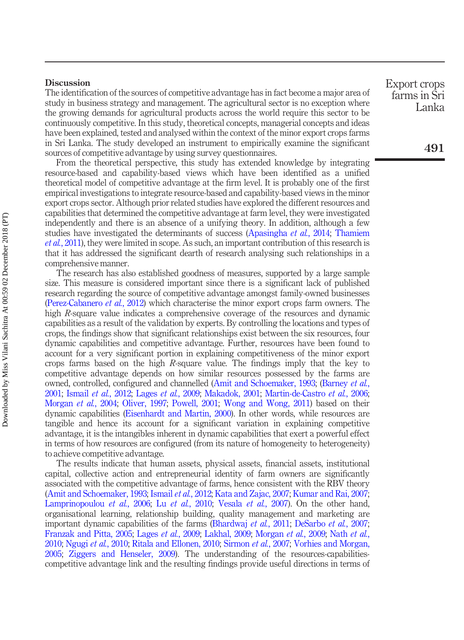#### **Discussion**

The identification of the sources of competitive advantage has in fact become a major area of study in business strategy and management. The agricultural sector is no exception where the growing demands for agricultural products across the world require this sector to be continuously competitive. In this study, theoretical concepts, managerial concepts and ideas have been explained, tested and analysed within the context of the minor export crops farms in Sri Lanka. The study developed an instrument to empirically examine the significant sources of competitive advantage by using survey questionnaires.

From the theoretical perspective, this study has extended knowledge by integrating resource-based and capability-based views which have been identified as a unified theoretical model of competitive advantage at the firm level. It is probably one of the first empirical investigations to integrate resource-based and capability-based views in the minor export crops sector. Although prior related studies have explored the different resources and capabilities that determined the competitive advantage at farm level, they were investigated independently and there is an absence of a unifying theory. In addition, although a few studies have investigated the determinants of success ([Apasingha](#page-19-6) *et al.*, 2014; [Thamiem](#page-24-15) et al.[, 2011](#page-24-15)), they were limited in scope. As such, an important contribution of this research is that it has addressed the significant dearth of research analysing such relationships in a comprehensive manner.

The research has also established goodness of measures, supported by a large sample size. This measure is considered important since there is a significant lack of published research regarding the source of competitive advantage amongst family-owned businesses [\(Perez-Cabanero](#page-23-7) *et al.*, 2012) which characterise the minor export crops farm owners. The high R-square value indicates a comprehensive coverage of the resources and dynamic capabilities as a result of the validation by experts. By controlling the locations and types of crops, the findings show that significant relationships exist between the six resources, four dynamic capabilities and competitive advantage. Further, resources have been found to account for a very significant portion in explaining competitiveness of the minor export crops farms based on the high R-square value. The findings imply that the key to competitive advantage depends on how similar resources possessed by the farms are owned, controlled, configured and channelled [\(Amit and Schoemaker, 1993](#page-19-1); ([Barney](#page-20-3) et al., [2001;](#page-20-3) [Ismail](#page-21-2) et al., 2012; Lages et al.[, 2009](#page-22-1); [Makadok, 2001;](#page-22-5) [Martin-de-Castro](#page-22-2) et al., 2006; [Morgan](#page-22-6) *et al.*, 2004; [Oliver, 1997](#page-23-4); [Powell, 2001](#page-23-2); [Wong and Wong, 2011\)](#page-25-1) based on their dynamic capabilities [\(Eisenhardt and Martin, 2000\)](#page-20-6). In other words, while resources are tangible and hence its account for a significant variation in explaining competitive advantage, it is the intangibles inherent in dynamic capabilities that exert a powerful effect in terms of how resources are configured (from its nature of homogeneity to heterogeneity) to achieve competitive advantage.

The results indicate that human assets, physical assets, financial assets, institutional capital, collective action and entrepreneurial identity of farm owners are significantly associated with the competitive advantage of farms, hence consistent with the RBV theory [\(Amit and Schoemaker, 1993](#page-19-1); [Ismail](#page-21-2) et al., 2012; [Kata and Zajac, 2007;](#page-22-9) [Kumar and Rai, 2007](#page-22-17); [Lamprinopoulou](#page-22-3) *et al.*, 2006; Lu *et al.*[, 2010](#page-22-8); [Vesala](#page-24-6) *et al.*, 2007). On the other hand, organisational learning, relationship building, quality management and marketing are important dynamic capabilities of the farms ([Bhardwaj](#page-20-13) et al., 2011; [DeSarbo](#page-20-7) et al., 2007; [Franzak and Pitta, 2005;](#page-21-17) [Lages](#page-22-1) et al., 2009; [Lakhal, 2009;](#page-22-18) [Morgan](#page-22-16) et al., 2009; [Nath](#page-23-8) et al., [2010;](#page-23-8) [Ngugi](#page-23-13) et al., 2010; [Ritala and Ellonen, 2010;](#page-23-15) [Sirmon](#page-24-16) et al., 2007; [Vorhies and Morgan,](#page-24-17) [2005;](#page-24-17) [Ziggers and Henseler, 2009](#page-25-3)). The understanding of the resources-capabilitiescompetitive advantage link and the resulting findings provide useful directions in terms of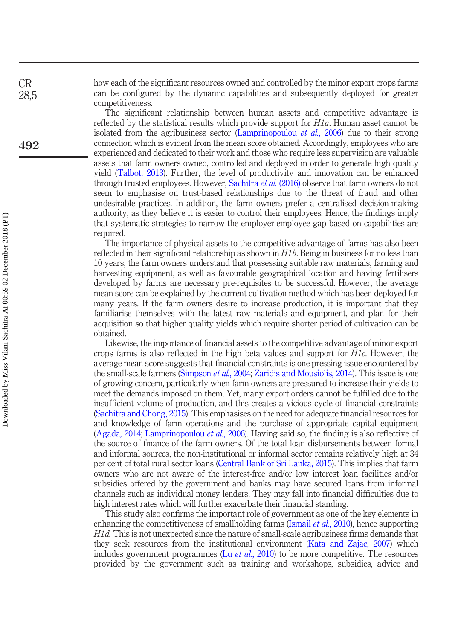how each of the significant resources owned and controlled by the minor export crops farms can be configured by the dynamic capabilities and subsequently deployed for greater competitiveness.

The significant relationship between human assets and competitive advantage is reflected by the statistical results which provide support for H1a. Human asset cannot be isolated from the agribusiness sector ([Lamprinopoulou](#page-22-3) et al., 2006) due to their strong connection which is evident from the mean score obtained. Accordingly, employees who are experienced and dedicated to their work and those who require less supervision are valuable assets that farm owners owned, controlled and deployed in order to generate high quality yield ([Talbot, 2013\)](#page-24-8). Further, the level of productivity and innovation can be enhanced through trusted employees. However, [Sachitra](#page-24-5) et al. (2016) observe that farm owners do not seem to emphasise on trust-based relationships due to the threat of fraud and other undesirable practices. In addition, the farm owners prefer a centralised decision-making authority, as they believe it is easier to control their employees. Hence, the findings imply that systematic strategies to narrow the employer-employee gap based on capabilities are required.

The importance of physical assets to the competitive advantage of farms has also been reflected in their significant relationship as shown in  $H1b$ . Being in business for no less than 10 years, the farm owners understand that possessing suitable raw materials, farming and harvesting equipment, as well as favourable geographical location and having fertilisers developed by farms are necessary pre-requisites to be successful. However, the average mean score can be explained by the current cultivation method which has been deployed for many years. If the farm owners desire to increase production, it is important that they familiarise themselves with the latest raw materials and equipment, and plan for their acquisition so that higher quality yields which require shorter period of cultivation can be obtained.

Likewise, the importance of financial assets to the competitive advantage of minor export crops farms is also reflected in the high beta values and support for H1c. However, the average mean score suggests that financial constraints is one pressing issue encountered by the small-scale farmers ([Simpson](#page-24-18) *et al.*, 2004; [Zaridis and Mousiolis, 2014\)](#page-25-4). This issue is one of growing concern, particularly when farm owners are pressured to increase their yields to meet the demands imposed on them. Yet, many export orders cannot be fulfilled due to the insufficient volume of production, and this creates a vicious cycle of financial constraints [\(Sachitra and Chong, 2015](#page-24-2)). This emphasises on the need for adequate financial resources for and knowledge of farm operations and the purchase of appropriate capital equipment [\(Agada, 2014;](#page-19-2) [Lamprinopoulou](#page-22-3) et al., 2006). Having said so, the finding is also reflective of the source of finance of the farm owners. Of the total loan disbursements between formal and informal sources, the non-institutional or informal sector remains relatively high at 34 per cent of total rural sector loans [\(Central Bank of Sri Lanka, 2015\)](#page-20-14). This implies that farm owners who are not aware of the interest-free and/or low interest loan facilities and/or subsidies offered by the government and banks may have secured loans from informal channels such as individual money lenders. They may fall into financial difficulties due to high interest rates which will further exacerbate their financial standing.

This study also confirms the important role of government as one of the key elements in enhancing the competitiveness of smallholding farms [\(Ismail](#page-21-7) *et al.*, 2010), hence supporting H1d. This is not unexpected since the nature of small-scale agribusiness firms demands that they seek resources from the institutional environment [\(Kata and Zajac, 2007\)](#page-22-9) which includes government programmes (Lu *et al.*[, 2010](#page-22-8)) to be more competitive. The resources provided by the government such as training and workshops, subsidies, advice and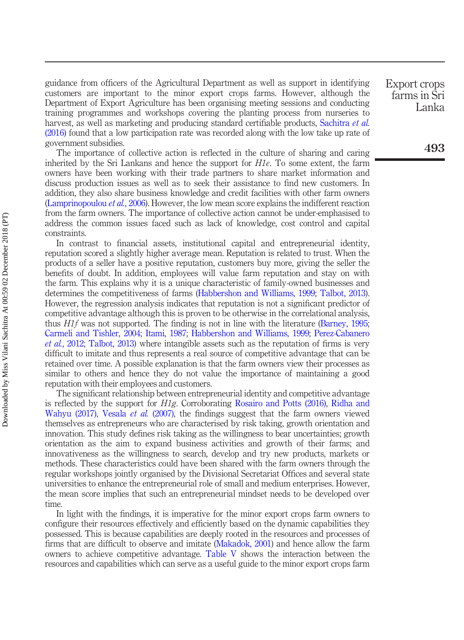guidance from officers of the Agricultural Department as well as support in identifying customers are important to the minor export crops farms. However, although the Department of Export Agriculture has been organising meeting sessions and conducting training programmes and workshops covering the planting process from nurseries to harvest, as well as marketing and producing standard certifiable products, [Sachitra](#page-24-5) *et al.* [\(2016\)](#page-24-5) found that a low participation rate was recorded along with the low take up rate of government subsidies.

The importance of collective action is reflected in the culture of sharing and caring inherited by the Sri Lankans and hence the support for  $H1e$ . To some extent, the farm owners have been working with their trade partners to share market information and discuss production issues as well as to seek their assistance to find new customers. In addition, they also share business knowledge and credit facilities with other farm owners [\(Lamprinopoulou](#page-22-3) *et al.*, 2006). However, the low mean score explains the indifferent reaction from the farm owners. The importance of collective action cannot be under-emphasised to address the common issues faced such as lack of knowledge, cost control and capital constraints.

In contrast to financial assets, institutional capital and entrepreneurial identity, reputation scored a slightly higher average mean. Reputation is related to trust. When the products of a seller have a positive reputation, customers buy more, giving the seller the benefits of doubt. In addition, employees will value farm reputation and stay on with the farm. This explains why it is a unique characteristic of family-owned businesses and determines the competitiveness of farms ([Habbershon and Williams, 1999;](#page-21-6) [Talbot, 2013\)](#page-24-8). However, the regression analysis indicates that reputation is not a significant predictor of competitive advantage although this is proven to be otherwise in the correlational analysis, thus H1f was not supported. The finding is not in line with the literature ([Barney, 1995](#page-20-5); [Carmeli and Tishler, 2004](#page-20-15); [Itami, 1987](#page-21-18); [Habbershon and Williams, 1999;](#page-21-6) [Perez-Cabanero](#page-23-7) et al.[, 2012](#page-23-7); [Talbot, 2013\)](#page-24-8) where intangible assets such as the reputation of firms is very difficult to imitate and thus represents a real source of competitive advantage that can be retained over time. A possible explanation is that the farm owners view their processes as similar to others and hence they do not value the importance of maintaining a good reputation with their employees and customers.

The significant relationship between entrepreneurial identity and competitive advantage is reflected by the support for H1g. Corroborating [Rosairo and Potts \(2016\),](#page-23-16) [Ridha and](#page-23-6) [Wahyu \(2017\),](#page-23-6) [Vesala](#page-24-6) *et al.* (2007), the findings suggest that the farm owners viewed themselves as entrepreneurs who are characterised by risk taking, growth orientation and innovation. This study defines risk taking as the willingness to bear uncertainties; growth orientation as the aim to expand business activities and growth of their farms; and innovativeness as the willingness to search, develop and try new products, markets or methods. These characteristics could have been shared with the farm owners through the regular workshops jointly organised by the Divisional Secretariat Offices and several state universities to enhance the entrepreneurial role of small and medium enterprises. However, the mean score implies that such an entrepreneurial mindset needs to be developed over time.

In light with the findings, it is imperative for the minor export crops farm owners to configure their resources effectively and efficiently based on the dynamic capabilities they possessed. This is because capabilities are deeply rooted in the resources and processes of firms that are difficult to observe and imitate [\(Makadok, 2001\)](#page-22-5) and hence allow the farm owners to achieve competitive advantage. [Table V](#page-12-0) shows the interaction between the resources and capabilities which can serve as a useful guide to the minor export crops farm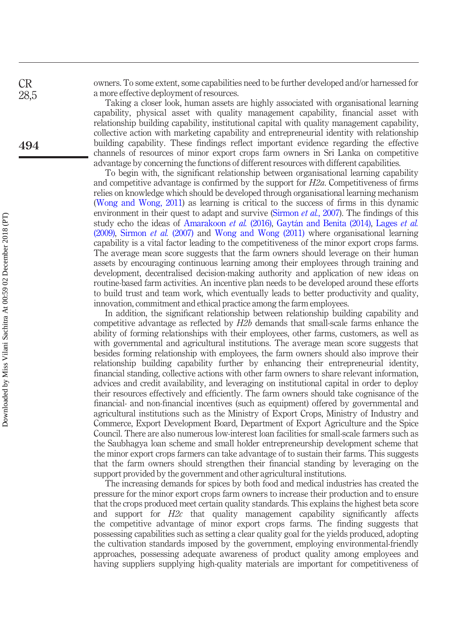owners. To some extent, some capabilities need to be further developed and/or harnessed for a more effective deployment of resources.

Taking a closer look, human assets are highly associated with organisational learning capability, physical asset with quality management capability, financial asset with relationship building capability, institutional capital with quality management capability, collective action with marketing capability and entrepreneurial identity with relationship building capability. These findings reflect important evidence regarding the effective channels of resources of minor export crops farm owners in Sri Lanka on competitive advantage by concerning the functions of different resources with different capabilities.

To begin with, the significant relationship between organisational learning capability and competitive advantage is confirmed by the support for  $H2a$ . Competitiveness of firms relies on knowledge which should be developed through organisational learning mechanism [\(Wong and Wong, 2011](#page-25-1)) as learning is critical to the success of firms in this dynamic environment in their quest to adapt and survive [\(Sirmon](#page-24-16) *et al.*, 2007). The findings of this study echo the ideas of [Amarakoon](#page-19-7) et al. (2016), [Gaytán and Benita \(2014\)](#page-21-0), [Lages](#page-22-1) et al. [\(2009\)](#page-22-1), [Sirmon](#page-24-16) et al. (2007) and [Wong and Wong \(2011\)](#page-25-1) where organisational learning capability is a vital factor leading to the competitiveness of the minor export crops farms. The average mean score suggests that the farm owners should leverage on their human assets by encouraging continuous learning among their employees through training and development, decentralised decision-making authority and application of new ideas on routine-based farm activities. An incentive plan needs to be developed around these efforts to build trust and team work, which eventually leads to better productivity and quality, innovation, commitment and ethical practice among the farm employees.

In addition, the significant relationship between relationship building capability and competitive advantage as reflected by H2b demands that small-scale farms enhance the ability of forming relationships with their employees, other farms, customers, as well as with governmental and agricultural institutions. The average mean score suggests that besides forming relationship with employees, the farm owners should also improve their relationship building capability further by enhancing their entrepreneurial identity, financial standing, collective actions with other farm owners to share relevant information, advices and credit availability, and leveraging on institutional capital in order to deploy their resources effectively and efficiently. The farm owners should take cognisance of the financial- and non-financial incentives (such as equipment) offered by governmental and agricultural institutions such as the Ministry of Export Crops, Ministry of Industry and Commerce, Export Development Board, Department of Export Agriculture and the Spice Council. There are also numerous low-interest loan facilities for small-scale farmers such as the Saubhagya loan scheme and small holder entrepreneurship development scheme that the minor export crops farmers can take advantage of to sustain their farms. This suggests that the farm owners should strengthen their financial standing by leveraging on the support provided by the government and other agricultural institutions.

The increasing demands for spices by both food and medical industries has created the pressure for the minor export crops farm owners to increase their production and to ensure that the crops produced meet certain quality standards. This explains the highest beta score and support for H2c that quality management capability significantly affects the competitive advantage of minor export crops farms. The finding suggests that possessing capabilities such as setting a clear quality goal for the yields produced, adopting the cultivation standards imposed by the government, employing environmental-friendly approaches, possessing adequate awareness of product quality among employees and having suppliers supplying high-quality materials are important for competitiveness of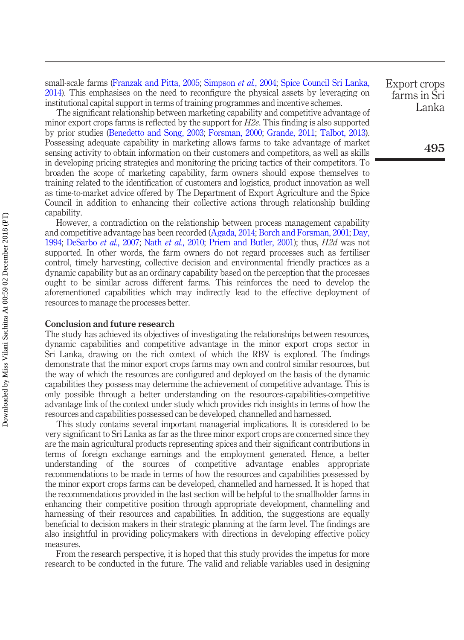small-scale farms ([Franzak and Pitta, 2005](#page-21-17); [Simpson](#page-24-18) et al., 2004; [Spice Council Sri Lanka,](#page-24-3) [2014\)](#page-24-3). This emphasises on the need to reconfigure the physical assets by leveraging on institutional capital support in terms of training programmes and incentive schemes.

The significant relationship between marketing capability and competitive advantage of minor export crops farms is reflected by the support for  $H2e$ . This finding is also supported by prior studies ([Benedetto and Song, 2003;](#page-20-16) [Forsman, 2000;](#page-20-17) [Grande, 2011;](#page-21-19) [Talbot, 2013\)](#page-24-8). Possessing adequate capability in marketing allows farms to take advantage of market sensing activity to obtain information on their customers and competitors, as well as skills in developing pricing strategies and monitoring the pricing tactics of their competitors. To broaden the scope of marketing capability, farm owners should expose themselves to training related to the identification of customers and logistics, product innovation as well as time-to-market advice offered by The Department of Export Agriculture and the Spice Council in addition to enhancing their collective actions through relationship building capability.

However, a contradiction on the relationship between process management capability and competitive advantage has been recorded [\(Agada, 2014](#page-19-2); [Borch and Forsman, 2001](#page-20-18); [Day,](#page-20-19) [1994;](#page-20-19) [DeSarbo](#page-20-7) et al., 2007; Nath et al.[, 2010](#page-23-8); [Priem and Butler, 2001](#page-23-17)); thus, H2d was not supported. In other words, the farm owners do not regard processes such as fertiliser control, timely harvesting, collective decision and environmental friendly practices as a dynamic capability but as an ordinary capability based on the perception that the processes ought to be similar across different farms. This reinforces the need to develop the aforementioned capabilities which may indirectly lead to the effective deployment of resources to manage the processes better.

#### Conclusion and future research

The study has achieved its objectives of investigating the relationships between resources, dynamic capabilities and competitive advantage in the minor export crops sector in Sri Lanka, drawing on the rich context of which the RBV is explored. The findings demonstrate that the minor export crops farms may own and control similar resources, but the way of which the resources are configured and deployed on the basis of the dynamic capabilities they possess may determine the achievement of competitive advantage. This is only possible through a better understanding on the resources-capabilities-competitive advantage link of the context under study which provides rich insights in terms of how the resources and capabilities possessed can be developed, channelled and harnessed.

This study contains several important managerial implications. It is considered to be very significant to Sri Lanka as far as the three minor export crops are concerned since they are the main agricultural products representing spices and their significant contributions in terms of foreign exchange earnings and the employment generated. Hence, a better understanding of the sources of competitive advantage enables appropriate recommendations to be made in terms of how the resources and capabilities possessed by the minor export crops farms can be developed, channelled and harnessed. It is hoped that the recommendations provided in the last section will be helpful to the smallholder farms in enhancing their competitive position through appropriate development, channelling and harnessing of their resources and capabilities. In addition, the suggestions are equally beneficial to decision makers in their strategic planning at the farm level. The findings are also insightful in providing policymakers with directions in developing effective policy measures.

From the research perspective, it is hoped that this study provides the impetus for more research to be conducted in the future. The valid and reliable variables used in designing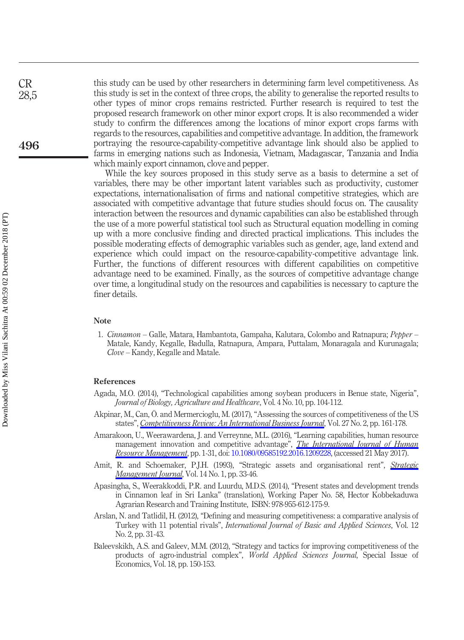this study can be used by other researchers in determining farm level competitiveness. As this study is set in the context of three crops, the ability to generalise the reported results to other types of minor crops remains restricted. Further research is required to test the proposed research framework on other minor export crops. It is also recommended a wider study to confirm the differences among the locations of minor export crops farms with regards to the resources, capabilities and competitive advantage. In addition, the framework portraying the resource-capability-competitive advantage link should also be applied to farms in emerging nations such as Indonesia, Vietnam, Madagascar, Tanzania and India which mainly export cinnamon, clove and pepper.

While the key sources proposed in this study serve as a basis to determine a set of variables, there may be other important latent variables such as productivity, customer expectations, internationalisation of firms and national competitive strategies, which are associated with competitive advantage that future studies should focus on. The causality interaction between the resources and dynamic capabilities can also be established through the use of a more powerful statistical tool such as Structural equation modelling in coming up with a more conclusive finding and directed practical implications. This includes the possible moderating effects of demographic variables such as gender, age, land extend and experience which could impact on the resource-capability-competitive advantage link. Further, the functions of different resources with different capabilities on competitive advantage need to be examined. Finally, as the sources of competitive advantage change over time, a longitudinal study on the resources and capabilities is necessary to capture the finer details.

#### Note

<span id="page-19-5"></span>1. Cinnamon – Galle, Matara, Hambantota, Gampaha, Kalutara, Colombo and Ratnapura; Pepper – Matale, Kandy, Kegalle, Badulla, Ratnapura, Ampara, Puttalam, Monaragala and Kurunagala; Clove – Kandy, Kegalle and Matale.

#### References

- <span id="page-19-2"></span>Agada, M.O. (2014), "Technological capabilities among soybean producers in Benue state, Nigeria", Journal of Biology, Agriculture and Healthcare, Vol. 4 No. 10, pp. 104-112.
- <span id="page-19-3"></span>Akpinar, M., Can, Ö. and Mermercioglu, M. (2017), "Assessing the sources of competitiveness of the US states", *[Competitiveness Review: An International Business Journal](https://www.emeraldinsight.com/action/showLinks?doi=10.1108%2FCR-01-2017-0004&system=10.1108%2FCR-02-2016-0014&citationId=p_24)*, Vol. 27 No. 2, pp. 161-178.
- <span id="page-19-7"></span>Amarakoon, U., Weerawardena, J. and Verreynne, M.L. (2016), "Learning capabilities, human resource management innovation and competitive advantage", *[The International Journal of Human](https://www.emeraldinsight.com/action/showLinks?doi=10.1108%2FCR-01-2017-0004&isi=000444261200004&citationId=p_25)* [Resource Management](https://www.emeraldinsight.com/action/showLinks?doi=10.1108%2FCR-01-2017-0004&isi=000444261200004&citationId=p_25), pp. 1-31, doi: [10.1080/09585192.2016.1209228,](http://dx.doi.org/10.1080/09585192.2016.1209228) (accessed 21 May 2017).
- <span id="page-19-1"></span>Amit, R. and Schoemaker, P.J.H. (1993), "[Strategic](https://www.emeraldinsight.com/action/showLinks?doi=10.1108%2FCR-01-2017-0004&crossref=10.1002%2Fsmj.4250140105&isi=A1993KG26800003&citationId=p_26) assets and organisational rent", *Strategic* [Management Journal](https://www.emeraldinsight.com/action/showLinks?doi=10.1108%2FCR-01-2017-0004&crossref=10.1002%2Fsmj.4250140105&isi=A1993KG26800003&citationId=p_26), Vol. 14 No. 1, pp. 33-46.
- <span id="page-19-6"></span>Apasingha, S., Weerakkoddi, P.R. and Luurdu, M.D.S. (2014), "Present states and development trends in Cinnamon leaf in Sri Lanka" (translation), Working Paper No. 58, Hector Kobbekaduwa Agrarian Research and Training Institute, ISBN: 978-955-612-175-9.
- <span id="page-19-4"></span>Arslan, N. and Tatlidil, H. (2012), "Defining and measuring competitiveness: a comparative analysis of Turkey with 11 potential rivals", International Journal of Basic and Applied Sciences, Vol. 12 No. 2, pp. 31-43.
- <span id="page-19-0"></span>Baleevskikh, A.S. and Galeev, M.M. (2012), "Strategy and tactics for improving competitiveness of the products of agro-industrial complex", World Applied Sciences Journal, Special Issue of Economics, Vol. 18, pp. 150-153.

CR 28,5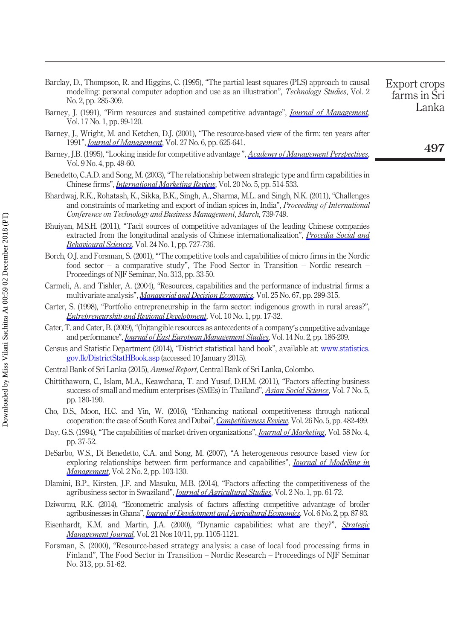- <span id="page-20-11"></span>Barclay, D., Thompson, R. and Higgins, C. (1995), "The partial least squares (PLS) approach to causal modelling: personal computer adoption and use as an illustration", *Technology Studies*, Vol. 2 No. 2, pp. 285-309. Export crops farms in Sri
- <span id="page-20-1"></span>Barney, J. (1991), "Firm resources and sustained competitive advantage", *[Journal of Management](https://www.emeraldinsight.com/action/showLinks?doi=10.1108%2FCR-01-2017-0004&crossref=10.1177%2F014920639101700108&isi=A1991FE14500007&citationId=p_31)*, Vol. 17 No. 1, pp. 99-120.
- <span id="page-20-3"></span>Barney, J., Wright, M. and Ketchen, D.J. (2001), "The resource-based view of the firm: ten years after 1991", *[Journal of Management](https://www.emeraldinsight.com/action/showLinks?doi=10.1108%2FCR-01-2017-0004&crossref=10.1177%2F014920630102700601&isi=000172894200001&citationId=p_32)*, Vol. 27 No. 6, pp. 625-641.
- <span id="page-20-5"></span>Barney, J.B. (1995), "Looking inside for competitive advantage", [Academy of Management Perspectives](https://www.emeraldinsight.com/action/showLinks?doi=10.1108%2FCR-01-2017-0004&crossref=10.5465%2Fame.1995.9512032192&citationId=p_33), Vol. 9 No. 4, pp. 49-60.
- <span id="page-20-16"></span>Benedetto, C.A.D. and Song, M. (2003), "The relationship between strategic type and firm capabilities in Chinese firms", *[International Marketing Review](https://www.emeraldinsight.com/action/showLinks?doi=10.1108%2FCR-01-2017-0004&system=10.1108%2F02651330310498762&isi=000186049400003&citationId=p_34)*, Vol. 20 No. 5, pp. 514-533.
- <span id="page-20-13"></span>Bhardwaj, R.K., Rohatash, K., Sikka, B.K., Singh, A., Sharma, M.L. and Singh, N.K. (2011), "Challenges and constraints of marketing and export of indian spices in, India", Proceeding of International Conference on Technology and Business Management, March, 739-749.
- <span id="page-20-9"></span>Bhuiyan, M.S.H. (2011), "Tacit sources of competitive advantages of the leading Chinese companies extracted from the longitudinal analysis of Chinese internationalization", [Procedia Social and](https://www.emeraldinsight.com/action/showLinks?doi=10.1108%2FCR-01-2017-0004&crossref=10.1016%2Fj.sbspro.2011.09.107&citationId=p_36) [Behavioural Sciences](https://www.emeraldinsight.com/action/showLinks?doi=10.1108%2FCR-01-2017-0004&crossref=10.1016%2Fj.sbspro.2011.09.107&citationId=p_36), Vol. 24 No. 1, pp. 727-736.
- <span id="page-20-18"></span>Borch, O.J. and Forsman, S. (2001), "'The competitive tools and capabilities of micro firms in the Nordic food sector – a comparative study", The Food Sector in Transition – Nordic research – Proceedings of NJF Seminar, No. 313, pp. 33-50.
- <span id="page-20-15"></span>Carmeli, A. and Tishler, A. (2004), "Resources, capabilities and the performance of industrial firms: a multivariate analysis", [Managerial and Decision Economics](https://www.emeraldinsight.com/action/showLinks?doi=10.1108%2FCR-01-2017-0004&crossref=10.1002%2Fmde.1192&citationId=p_38), Vol. 25 No. 67, pp. 299-315.
- Carter, S. (1998), "Portfolio entrepreneurship in the farm sector: indigenous growth in rural areas?", **[Entrepreneurship and Regional Development](https://www.emeraldinsight.com/action/showLinks?doi=10.1108%2FCR-01-2017-0004&crossref=10.1080%2F08985629800000002&citationId=p_39)**, Vol. 10 No. 1, pp. 17-32.
- <span id="page-20-4"></span>Cater, T. and Cater, B. (2009),"(In)tangible resources as antecedents of a company's competitive advantage and performance", *[Journal of East European Management Studies](https://www.emeraldinsight.com/action/showLinks?doi=10.1108%2FCR-01-2017-0004&crossref=10.5771%2F0949-6181-2009-2-186&isi=000267979100004&citationId=p_40)*, Vol. 14 No. 2, pp. 186-209.
- <span id="page-20-10"></span>Census and Statistic Department (2014), "District statistical hand book", available at: [www.statistics.](http://www.statistics.gov.lk/DistrictStatHBook.asp) [gov.lk/DistrictStatHBook.asp](http://www.statistics.gov.lk/DistrictStatHBook.asp) (accessed 10 January 2015).
- <span id="page-20-14"></span>Central Bank of Sri Lanka (2015), Annual Report, Central Bank of Sri Lanka, Colombo.
- <span id="page-20-12"></span>Chittithaworn, C., Islam, M.A., Keawchana, T. and Yusuf, D.H.M. (2011), "Factors affecting business success of small and medium enterprises (SMEs) in Thailand", *[Asian Social Science](https://www.emeraldinsight.com/action/showLinks?doi=10.1108%2FCR-01-2017-0004&crossref=10.5539%2Fass.v7n5p180&citationId=p_43)*, Vol. 7 No. 5, pp. 180-190.
- <span id="page-20-8"></span>Cho, D.S., Moon, H.C. and Yin, W. (2016), "Enhancing national competitiveness through national cooperation: the case of South Korea and Dubai", [Competitiveness Review](https://www.emeraldinsight.com/action/showLinks?doi=10.1108%2FCR-01-2017-0004&system=10.1108%2FCR-05-2015-0036&isi=000392738700001&citationId=p_44), Vol. 26 No. 5, pp. 482-499.
- <span id="page-20-19"></span>Day, G.S. (1994), "The capabilities of market-driven organizations", *[Journal of Marketing](https://www.emeraldinsight.com/action/showLinks?doi=10.1108%2FCR-01-2017-0004&crossref=10.1177%2F002224299405800404&isi=A1994PM30200004&citationId=p_45)*, Vol. 58 No. 4, pp. 37-52.
- <span id="page-20-7"></span>DeSarbo, W.S., Di Benedetto, C.A. and Song, M. (2007), "A heterogeneous resource based view for exploring relationships between firm performance and capabilities", *[Journal of Modelling in](https://www.emeraldinsight.com/action/showLinks?doi=10.1108%2FCR-01-2017-0004&system=10.1108%2F17465660710763407&citationId=p_46) [Management](https://www.emeraldinsight.com/action/showLinks?doi=10.1108%2FCR-01-2017-0004&system=10.1108%2F17465660710763407&citationId=p_46)*, Vol. 2 No. 2, pp. 103-130.
- <span id="page-20-2"></span>Dlamini, B.P., Kirsten, J.F. and Masuku, M.B. (2014), "Factors affecting the competitiveness of the agribusiness sector in Swaziland", *[Journal of Agricultural Studies](https://www.emeraldinsight.com/action/showLinks?doi=10.1108%2FCR-01-2017-0004&crossref=10.5296%2Fjas.v2i1.4775&citationId=p_47)*, Vol. 2 No. 1, pp. 61-72.
- <span id="page-20-0"></span>Dziwornu, R.K. (2014), "Econometric analysis of factors affecting competitive advantage of broiler agribusinesses in Ghana", [Journal of Development and Agricultural Economics](https://www.emeraldinsight.com/action/showLinks?doi=10.1108%2FCR-01-2017-0004&crossref=10.5897%2FJDAE2013.0527&citationId=p_48), Vol. 6 No. 2, pp. 87-93.
- <span id="page-20-6"></span>Eisenhardt, K.M. and Martin, J.A. (2000), "Dynamic capabilities: what are they?", [Strategic](https://www.emeraldinsight.com/action/showLinks?doi=10.1108%2FCR-01-2017-0004&crossref=10.1002%2F1097-0266%28200010%2F11%2921%3A10%2F11%3C1105%3A%3AAID-SMJ133%3E3.0.CO%3B2-E&isi=000165188900009&citationId=p_49) [Management Journal](https://www.emeraldinsight.com/action/showLinks?doi=10.1108%2FCR-01-2017-0004&crossref=10.1002%2F1097-0266%28200010%2F11%2921%3A10%2F11%3C1105%3A%3AAID-SMJ133%3E3.0.CO%3B2-E&isi=000165188900009&citationId=p_49), Vol. 21 Nos 10/11, pp. 1105-1121.
- <span id="page-20-17"></span>Forsman, S. (2000), "Resource-based strategy analysis: a case of local food processing firms in Finland", The Food Sector in Transition – Nordic Research – Proceedings of NJF Seminar No. 313, pp. 51-62.

Lanka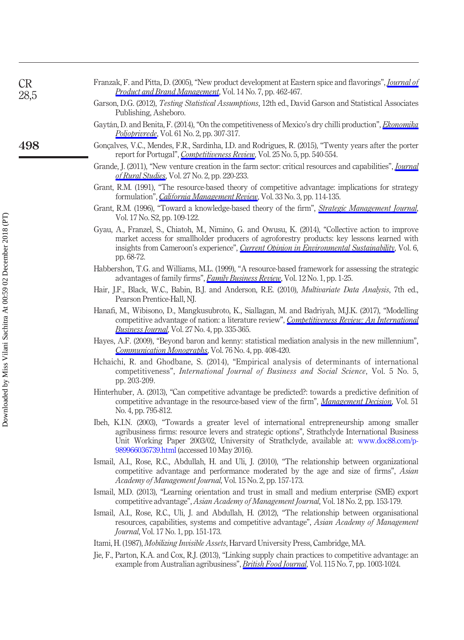<span id="page-21-19"></span><span id="page-21-17"></span><span id="page-21-16"></span><span id="page-21-10"></span><span id="page-21-5"></span><span id="page-21-3"></span><span id="page-21-0"></span>

| <b>CR</b><br>28,5 | Franzak, F. and Pitta, D. (2005), "New product development at Eastern spice and flavorings", <i>Journal of</i><br><i>Product and Brand Management</i> , Vol. 14 No. 7, pp. 462-467.                                                                                                                                      |
|-------------------|--------------------------------------------------------------------------------------------------------------------------------------------------------------------------------------------------------------------------------------------------------------------------------------------------------------------------|
|                   | Garson, D.G. (2012), Testing Statistical Assumptions, 12th ed., David Garson and Statistical Associates<br>Publishing, Asheboro.                                                                                                                                                                                         |
|                   | Gaytán, D. and Benita, F. (2014), "On the competitiveness of Mexico's dry chilli production", <i>Ekonomika</i><br><i>Poljoprivrede</i> , Vol. 61 No. 2, pp. 307-317.                                                                                                                                                     |
| 498               | Gonçalves, V.C., Mendes, F.R., Sardinha, I.D. and Rodrigues, R. (2015), "Twenty years after the porter<br>report for Portugal", <i>Competitiveness Review</i> , Vol. 25 No. 5, pp. 540-554.                                                                                                                              |
|                   | Grande, J. (2011), "New venture creation in the farm sector: critical resources and capabilities", <i>Journal</i><br>of Rural Studies, Vol. 27 No. 2, pp. 220-233.                                                                                                                                                       |
|                   | Grant, R.M. (1991), "The resource-based theory of competitive advantage: implications for strategy<br>formulation", <i>California Management Review</i> , Vol. 33 No. 3, pp. 114-135.                                                                                                                                    |
|                   | Grant, R.M. (1996), "Toward a knowledge-based theory of the firm", <i>Strategic Management Journal</i> ,<br>Vol. 17 No. S2, pp. 109-122.                                                                                                                                                                                 |
|                   | Gyau, A., Franzel, S., Chiatoh, M., Nimino, G. and Owusu, K. (2014), "Collective action to improve<br>market access for smallholder producers of agroforestry products: key lessons learned with<br>insights from Cameroon's experience", <i>Current Opinion in Environmental Sustainability</i> , Vol. 6,<br>pp. 68-72. |
|                   | Habbershon, T.G. and Williams, M.L. (1999), "A resource-based framework for assessing the strategic<br>advantages of family firms", Family Business Review, Vol. 12 No. 1, pp. 1-25.                                                                                                                                     |
|                   | Hair, J.F., Black, W.C., Babin, B.J. and Anderson, R.E. (2010), <i>Multivariate Data Analysis</i> , 7th ed.,<br>Pearson Prentice-Hall, NJ.                                                                                                                                                                               |
|                   | Hanafi, M., Wibisono, D., Mangkusubroto, K., Siallagan, M. and Badriyah, M.J.K. (2017), "Modelling<br>competitive advantage of nation: a literature review", Competitiveness Review: An International<br><i>Business Journal</i> , Vol. 27 No. 4, pp. 335-365.                                                           |
|                   | Hayes, A.F. (2009), "Beyond baron and kenny: statistical mediation analysis in the new millennium",<br><i>Communication Monographs</i> , Vol. 76 No. 4, pp. 408-420.                                                                                                                                                     |
|                   | Hchaichi, R. and Ghodbane, S. (2014), "Empirical analysis of determinants of international<br>competitiveness", <i>International Journal of Business and Social Science</i> , Vol. 5 No. 5,<br>pp. 203-209.                                                                                                              |

- <span id="page-21-15"></span><span id="page-21-13"></span><span id="page-21-12"></span><span id="page-21-11"></span><span id="page-21-8"></span><span id="page-21-6"></span><span id="page-21-4"></span>Hinterhuber, A. (2013), "Can competitive advantage be predicted?: towards a predictive definition of competitive advantage in the resource-based view of the firm", [Management Decision](https://www.emeraldinsight.com/action/showLinks?doi=10.1108%2FCR-01-2017-0004&system=10.1108%2F00251741311326572&isi=000319086000006&citationId=p_64), Vol. 51 No. 4, pp. 795-812.
- <span id="page-21-1"></span>Ibeh, K.I.N. (2003), "Towards a greater level of international entrepreneurship among smaller agribusiness firms: resource levers and strategic options", Strathclyde International Business Unit Working Paper 2003/02, University of Strathclyde, available at: [www.doc88.com/p-](http://www.doc88.com/p-989966036739.html)[989966036739.html](http://www.doc88.com/p-989966036739.html) (accessed 10 May 2016).
- <span id="page-21-7"></span>Ismail, A.I., Rose, R.C., Abdullah, H. and Uli, J. (2010), "The relationship between organizational competitive advantage and performance moderated by the age and size of firms", Asian Academy of Management Journal, Vol. 15 No. 2, pp. 157-173.
- <span id="page-21-9"></span>Ismail, M.D. (2013), "Learning orientation and trust in small and medium enterprise (SME) export competitive advantage", Asian Academy of Management Journal, Vol. 18 No. 2, pp. 153-179.
- <span id="page-21-2"></span>Ismail, A.I., Rose, R.C., Uli, J. and Abdullah, H. (2012), "The relationship between organisational resources, capabilities, systems and competitive advantage", Asian Academy of Management Journal, Vol. 17 No. 1, pp. 151-173.
- <span id="page-21-18"></span>Itami, H. (1987), Mobilizing Invisible Assets, Harvard University Press, Cambridge, MA.
- <span id="page-21-14"></span>Jie, F., Parton, K.A. and Cox, R.J. (2013), "Linking supply chain practices to competitive advantage: an example from Australian agribusiness", *[British Food Journal](https://www.emeraldinsight.com/action/showLinks?doi=10.1108%2FCR-01-2017-0004&system=10.1108%2FBFJ-10-2010-0181&isi=000321478800006&citationId=p_70)*, Vol. 115 No. 7, pp. 1003-1024.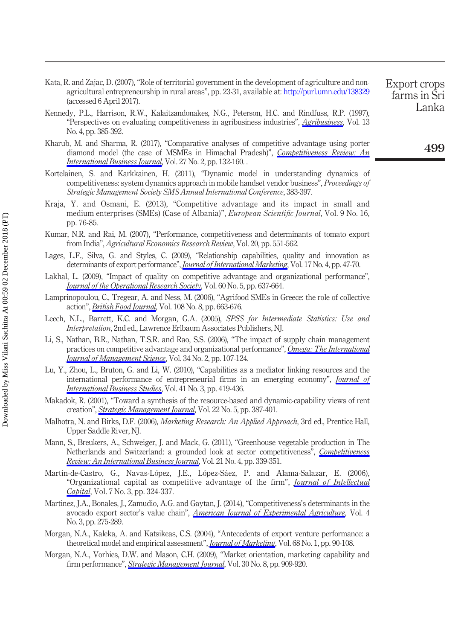- <span id="page-22-9"></span>Kata, R. and Zajac, D. (2007), "Role of territorial government in the development of agriculture and nonagricultural entrepreneurship in rural areas", pp. 23-31, available at: <http://purl.umn.edu/138329> (accessed 6 April 2017).
- <span id="page-22-11"></span>Kennedy, P.L., Harrison, R.W., Kalaitzandonakes, N.G., Peterson, H.C. and Rindfuss, R.P. (1997), "Perspectives on evaluating competitiveness in agribusiness industries", [Agribusiness](https://www.emeraldinsight.com/action/showLinks?doi=10.1108%2FCR-01-2017-0004&crossref=10.1002%2F%28SICI%291520-6297%28199707%2F08%2913%3A4%3C385%3A%3AAID-AGR4%3E3.0.CO%3B2-V&citationId=p_72), Vol. 13 No. 4, pp. 385-392.
- <span id="page-22-10"></span>Kharub, M. and Sharma, R. (2017), "Comparative analyses of competitive advantage using porter diamond model (the case of MSMEs in Himachal Pradesh)", [Competitiveness Review: An](https://www.emeraldinsight.com/action/showLinks?doi=10.1108%2FCR-01-2017-0004&system=10.1108%2FCR-02-2016-0007&isi=000399049600003&citationId=p_73) [International Business Journal](https://www.emeraldinsight.com/action/showLinks?doi=10.1108%2FCR-01-2017-0004&system=10.1108%2FCR-02-2016-0007&isi=000399049600003&citationId=p_73), Vol. 27 No. 2, pp. 132-160.
- <span id="page-22-4"></span>Kortelainen, S. and Karkkainen, H. (2011), "Dynamic model in understanding dynamics of competitiveness: system dynamics approach in mobile handset vendor business", Proceedings of Strategic Management Society SMS Annual International Conference, 383-397.
- <span id="page-22-7"></span>Kraja, Y. and Osmani, E. (2013), "Competitive advantage and its impact in small and medium enterprises (SMEs) (Case of Albania)", *European Scientific Journal*, Vol. 9 No. 16, pp. 76-85.
- <span id="page-22-17"></span>Kumar, N.R. and Rai, M. (2007), "Performance, competitiveness and determinants of tomato export from India", Agricultural Economics Research Review, Vol. 20, pp. 551-562.
- <span id="page-22-1"></span>Lages, L.F., Silva, G. and Styles, C. (2009), "Relationship capabilities, quality and innovation as determinants of export performance", *[Journal of International Marketing](https://www.emeraldinsight.com/action/showLinks?doi=10.1108%2FCR-01-2017-0004&crossref=10.1509%2Fjimk.17.4.47&isi=000272485200003&citationId=p_77)*, Vol. 17 No. 4, pp. 47-70.
- <span id="page-22-18"></span>Lakhal, L. (2009), "Impact of quality on competitive advantage and organizational performance", **[Journal of the Operational Research Society](https://www.emeraldinsight.com/action/showLinks?doi=10.1108%2FCR-01-2017-0004&crossref=10.1057%2Fpalgrave.jors.2602601&isi=000265160800006&citationId=p_78), Vol. 60 No. 5, pp. 637-664.**
- <span id="page-22-3"></span>Lamprinopoulou, C., Tregear, A. and Ness, M. (2006), "Agrifood SMEs in Greece: the role of collective action", *[British Food Journal](https://www.emeraldinsight.com/action/showLinks?doi=10.1108%2FCR-01-2017-0004&system=10.1108%2F00070700610682346&isi=000241065400005&citationId=p_79)*, Vol. 108 No. 8, pp. 663-676.
- <span id="page-22-14"></span>Leech, N.L., Barrett, K.C. and Morgan, G.A. (2005), SPSS for Intermediate Statistics: Use and Interpretation, 2nd ed., Lawrence Erlbaum Associates Publishers, NJ.
- <span id="page-22-13"></span>Li, S., Nathan, B.R., Nathan, T.S.R. and Rao, S.S. (2006), "The impact of supply chain management practices on competitive advantage and organizational performance", [Omega: The International](https://www.emeraldinsight.com/action/showLinks?doi=10.1108%2FCR-01-2017-0004&crossref=10.1016%2Fj.omega.2004.08.002&isi=000233386000001&citationId=p_81) [Journal of Management Science](https://www.emeraldinsight.com/action/showLinks?doi=10.1108%2FCR-01-2017-0004&crossref=10.1016%2Fj.omega.2004.08.002&isi=000233386000001&citationId=p_81), Vol. 34 No. 2, pp. 107-124.
- <span id="page-22-8"></span>Lu, Y., Zhou, L., Bruton, G. and Li, W. (2010), "Capabilities as a mediator linking resources and the international performance of entrepreneurial firms in an emerging economy", *[Journal of](https://www.emeraldinsight.com/action/showLinks?doi=10.1108%2FCR-01-2017-0004&crossref=10.1057%2Fjibs.2009.73&isi=000275810400005&citationId=p_82)* [International Business Studies](https://www.emeraldinsight.com/action/showLinks?doi=10.1108%2FCR-01-2017-0004&crossref=10.1057%2Fjibs.2009.73&isi=000275810400005&citationId=p_82), Vol. 41 No. 3, pp. 419-436.
- <span id="page-22-5"></span>Makadok, R. (2001), "Toward a synthesis of the resource-based and dynamic-capability views of rent creation", *[Strategic Management Journal](https://www.emeraldinsight.com/action/showLinks?doi=10.1108%2FCR-01-2017-0004&crossref=10.1002%2Fsmj.158&isi=000168323600001&citationId=p_83)*, Vol. 22 No. 5, pp. 387-401.
- <span id="page-22-15"></span>Malhotra, N. and Birks, D.F. (2006), *Marketing Research: An Applied Approach*, 3rd ed., Prentice Hall, Upper Saddle River, NJ.
- <span id="page-22-0"></span>Mann, S., Breukers, A., Schweiger, J. and Mack, G. (2011), "Greenhouse vegetable production in The Netherlands and Switzerland: a grounded look at sector competitiveness", [Competitiveness](https://www.emeraldinsight.com/action/showLinks?doi=10.1108%2FCR-01-2017-0004&system=10.1108%2F10595421111152147&citationId=p_85) [Review: An International Business Journal](https://www.emeraldinsight.com/action/showLinks?doi=10.1108%2FCR-01-2017-0004&system=10.1108%2F10595421111152147&citationId=p_85), Vol. 21 No. 4, pp. 339-351.
- <span id="page-22-2"></span>Martin-de-Castro, G., Navas-Lopez, J.E., Lopez-Sáez, P. and Alama-Salazar, E. (2006), "Organizational capital as competitive advantage of the firm", *[Journal of Intellectual](https://www.emeraldinsight.com/action/showLinks?doi=10.1108%2FCR-01-2017-0004&system=10.1108%2F14691930610681438&citationId=p_86)* [Capital](https://www.emeraldinsight.com/action/showLinks?doi=10.1108%2FCR-01-2017-0004&system=10.1108%2F14691930610681438&citationId=p_86), Vol. 7 No. 3, pp. 324-337.
- <span id="page-22-12"></span>Martinez, J.A., Bonales, J., Zamudio, A.G. and Gaytan, J. (2014), "Competitiveness's determinants in the avocado export sector's value chain", *[American Journal of Experimental Agriculture](https://www.emeraldinsight.com/action/showLinks?doi=10.1108%2FCR-01-2017-0004&crossref=10.9734%2FAJEA%2F2014%2F6493&citationId=p_87)*, Vol. 4 No. 3, pp. 275-289.
- <span id="page-22-6"></span>Morgan, N.A., Kaleka, A. and Katsikeas, C.S. (2004), "Antecedents of export venture performance: a theoretical model and empirical assessment", *[Journal of Marketing](https://www.emeraldinsight.com/action/showLinks?doi=10.1108%2FCR-01-2017-0004&crossref=10.1509%2Fjmkg.68.1.90.24028&isi=000188005600007&citationId=p_88)*, Vol. 68 No. 1, pp. 90-108.
- <span id="page-22-16"></span>Morgan, N.A., Vorhies, D.W. and Mason, C.H. (2009), "Market orientation, marketing capability and firm performance", [Strategic Management Journal](https://www.emeraldinsight.com/action/showLinks?doi=10.1108%2FCR-01-2017-0004&crossref=10.1002%2Fsmj.764&isi=000267302800006&citationId=p_89), Vol. 30 No. 8, pp. 909-920.

farms in Sri Lanka

499

Export crops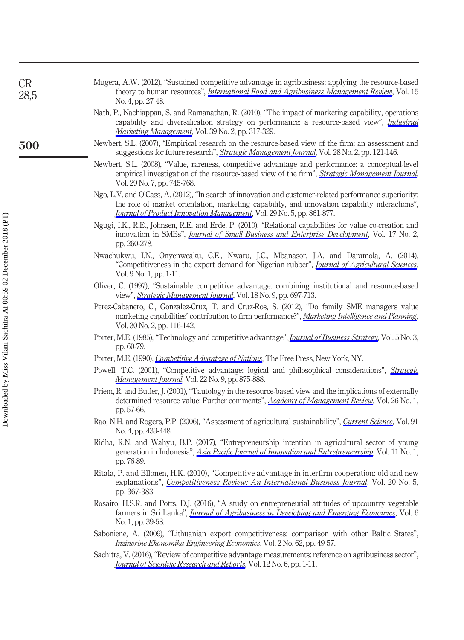- <span id="page-23-0"></span>Mugera, A.W. (2012), "Sustained competitive advantage in agribusiness: applying the resource-based theory to human resources", *[International Food and Agribusiness Management Review](https://www.emeraldinsight.com/action/showLinks?doi=10.1108%2FCR-01-2017-0004&isi=000314412000003&citationId=p_90)*, Vol. 15 No. 4, pp. 27-48.
- <span id="page-23-8"></span>Nath, P., Nachiappan, S. and Ramanathan, R. (2010), "The impact of marketing capability, operations capability and diversification strategy on performance: a resource-based view", *[Industrial](https://www.emeraldinsight.com/action/showLinks?doi=10.1108%2FCR-01-2017-0004&crossref=10.1016%2Fj.indmarman.2008.09.001&isi=000275613200015&citationId=p_91)* [Marketing Management](https://www.emeraldinsight.com/action/showLinks?doi=10.1108%2FCR-01-2017-0004&crossref=10.1016%2Fj.indmarman.2008.09.001&isi=000275613200015&citationId=p_91), Vol. 39 No. 2, pp. 317-329.
- <span id="page-23-17"></span><span id="page-23-16"></span><span id="page-23-15"></span><span id="page-23-14"></span><span id="page-23-13"></span><span id="page-23-12"></span><span id="page-23-11"></span><span id="page-23-10"></span><span id="page-23-9"></span><span id="page-23-7"></span><span id="page-23-6"></span><span id="page-23-5"></span><span id="page-23-4"></span><span id="page-23-3"></span><span id="page-23-2"></span><span id="page-23-1"></span>Newbert, S.L. (2007), "Empirical research on the resource-based view of the firm: an assessment and suggestions for future research", *[Strategic Management Journal](https://www.emeraldinsight.com/action/showLinks?doi=10.1108%2FCR-01-2017-0004&crossref=10.1002%2Fsmj.573&isi=000243704700002&citationId=p_92)*, Vol. 28 No. 2, pp. 121-146.
	- Newbert, S.L. (2008), "Value, rareness, competitive advantage and performance: a conceptual-level empirical investigation of the resource-based view of the firm", [Strategic Management Journal](https://www.emeraldinsight.com/action/showLinks?doi=10.1108%2FCR-01-2017-0004&crossref=10.1002%2Fsmj.686&isi=000257024000004&citationId=p_93), Vol. 29 No. 7, pp. 745-768.
	- Ngo, L.V. and O'Cass, A. (2012), "In search of innovation and customer-related performance superiority: the role of market orientation, marketing capability, and innovation capability interactions", [Journal of Product Innovation Management](https://www.emeraldinsight.com/action/showLinks?doi=10.1108%2FCR-01-2017-0004&crossref=10.1111%2Fj.1540-5885.2012.00939.x&isi=000307164000012&citationId=p_94), Vol. 29 No. 5, pp. 861-877.
	- Ngugi, I.K., R.E., Johnsen, R.E. and Erde, P. (2010), "Relational capabilities for value co-creation and innovation in SMEs", *[Journal of Small Business and Enterprise Development](https://www.emeraldinsight.com/action/showLinks?doi=10.1108%2FCR-01-2017-0004&system=10.1108%2F14626001011041256&citationId=p_95)*, Vol. 17 No. 2, pp. 260-278.
	- Nwachukwu, I.N., Onyenweaku, C.E., Nwaru, J.C., Mbanasor, J.A. and Daramola, A. (2014), "Competitiveness in the export demand for Nigerian rubber", *[Journal of Agricultural Sciences](https://www.emeraldinsight.com/action/showLinks?doi=10.1108%2FCR-01-2017-0004&crossref=10.4038%2Fjas.v9i1.6348&citationId=p_96)* Vol. 9 No. 1, pp. 1-11.
	- Oliver, C. (1997), "Sustainable competitive advantage: combining institutional and resource-based view", [Strategic Management Journal](https://www.emeraldinsight.com/action/showLinks?doi=10.1108%2FCR-01-2017-0004&crossref=10.1002%2F%28SICI%291097-0266%28199710%2918%3A9%3C697%3A%3AAID-SMJ909%3E3.0.CO%3B2-C&isi=A1997XZ43600002&citationId=p_97), Vol. 18 No. 9, pp. 697-713.
	- Perez-Cabanero, C., Gonzalez-Cruz, T. and Cruz-Ros, S. (2012), "Do family SME managers value marketing capabilities' contribution to firm performance?", [Marketing Intelligence and Planning](https://www.emeraldinsight.com/action/showLinks?doi=10.1108%2FCR-01-2017-0004&system=10.1108%2F02634501211211948&citationId=p_98), Vol. 30 No. 2, pp. 116-142.
	- Porter, M.E. (1985), "Technology and competitive advantage", *[Journal of Business Strategy](https://www.emeraldinsight.com/action/showLinks?doi=10.1108%2FCR-01-2017-0004&system=10.1108%2Feb039075&citationId=p_99)*, Vol. 5 No. 3, pp. 60-79.
	- Porter, M.E. (1990), *[Competitive Advantage of Nations](https://www.emeraldinsight.com/action/showLinks?doi=10.1108%2FCR-01-2017-0004&crossref=10.1007%2F978-1-349-11336-1&citationId=p_100)*, The Free Press, New York, NY.
	- Powell, T.C. (2001), "Competitive advantage: logical and philosophical considerations", [Strategic](https://www.emeraldinsight.com/action/showLinks?doi=10.1108%2FCR-01-2017-0004&crossref=10.1002%2Fsmj.173&isi=000170638700004&citationId=p_101) [Management Journal](https://www.emeraldinsight.com/action/showLinks?doi=10.1108%2FCR-01-2017-0004&crossref=10.1002%2Fsmj.173&isi=000170638700004&citationId=p_101), Vol. 22 No. 9, pp. 875-888.
	- Priem, R. and Butler, J. (2001), "Tautology in the resource-based view and the implications of externally determined resource value: Further comments", [Academy of Management Review](https://www.emeraldinsight.com/action/showLinks?doi=10.1108%2FCR-01-2017-0004&crossref=10.5465%2Famr.2001.4011946&isi=000166430200010&citationId=p_102), Vol. 26 No. 1, pp. 57-66.
	- Rao, N.H. and Rogers, P.P. (2006), "Assessment of agricultural sustainability", [Current Science](https://www.emeraldinsight.com/action/showLinks?doi=10.1108%2FCR-01-2017-0004&isi=000240266200017&citationId=p_103), Vol. 91 No. 4, pp. 439-448.
	- Ridha, R.N. and Wahyu, B.P. (2017), "Entrepreneurship intention in agricultural sector of young generation in Indonesia", *Asia Pacifi[c Journal of Innovation and Entrepreneurship](https://www.emeraldinsight.com/action/showLinks?doi=10.1108%2FCR-01-2017-0004&system=10.1108%2FAPJIE-04-2017-022&isi=000415569000007&citationId=p_104)*, Vol. 11 No. 1, pp. 76-89.
	- Ritala, P. and Ellonen, H.K. (2010), "Competitive advantage in interfirm cooperation: old and new explanations", [Competitiveness Review: An International Business Journal](https://www.emeraldinsight.com/action/showLinks?doi=10.1108%2FCR-01-2017-0004&system=10.1108%2F10595421011080751&citationId=p_105), Vol. 20 No. 5, pp. 367-383.
	- Rosairo, H.S.R. and Potts, D.J. (2016), "A study on entrepreneurial attitudes of upcountry vegetable farmers in Sri Lanka", *[Journal of Agribusiness in Developing and Emerging Economies](https://www.emeraldinsight.com/action/showLinks?doi=10.1108%2FCR-01-2017-0004&system=10.1108%2FJADEE-07-2014-0024&isi=000397107900003&citationId=p_106)*, Vol. 6 No. 1, pp. 39-58.
	- Saboniene, A. (2009), "Lithuanian export competitiveness: comparison with other Baltic States", Inzinerine Ekonomika-Engineering Economics, Vol. 2 No. 62, pp. 49-57.
	- Sachitra, V. (2016), "Review of competitive advantage measurements: reference on agribusiness sector", Journal of Scientifi[c Research and Reports](https://www.emeraldinsight.com/action/showLinks?doi=10.1108%2FCR-01-2017-0004&crossref=10.9734%2FJSRR%2F2016%2F30850&citationId=p_108), Vol. 12 No. 6, pp. 1-11.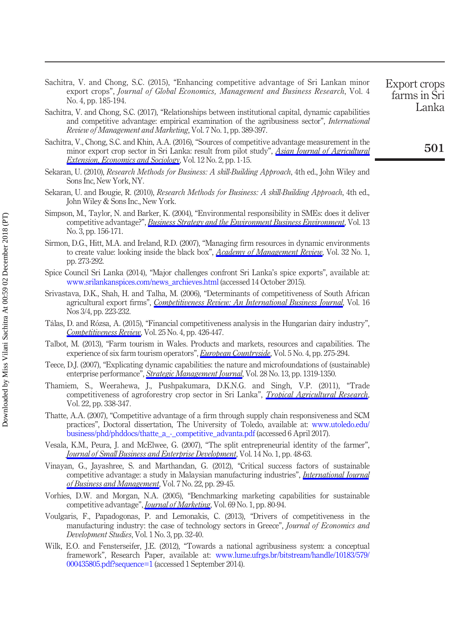- <span id="page-24-2"></span>Sachitra, V. and Chong, S.C. (2015), "Enhancing competitive advantage of Sri Lankan minor export crops", Journal of Global Economics, Management and Business Research, Vol. 4 No. 4, pp. 185-194.
- <span id="page-24-4"></span>Sachitra, V. and Chong, S.C. (2017), "Relationships between institutional capital, dynamic capabilities and competitive advantage: empirical examination of the agribusiness sector", International Review of Management and Marketing, Vol. 7 No. 1, pp. 389-397.
- <span id="page-24-5"></span>Sachitra, V., Chong, S.C. and Khin, A.A. (2016), "Sources of competitive advantage measurement in the minor export crop sector in Sri Lanka: result from pilot study", [Asian Journal of Agricultural](https://www.emeraldinsight.com/action/showLinks?doi=10.1108%2FCR-01-2017-0004&crossref=10.9734%2FAJAEES%2F2016%2F27814&citationId=p_111) [Extension, Economics and Sociology](https://www.emeraldinsight.com/action/showLinks?doi=10.1108%2FCR-01-2017-0004&crossref=10.9734%2FAJAEES%2F2016%2F27814&citationId=p_111), Vol. 12 No. 2, pp. 1-15.
- <span id="page-24-10"></span>Sekaran, U. (2010), Research Methods for Business: A skill-Building Approach, 4th ed., John Wiley and Sons Inc, New York, NY.
- <span id="page-24-11"></span>Sekaran, U. and Bougie, R. (2010), Research Methods for Business: A skill-Building Approach, 4th ed., John Wiley & Sons Inc., New York.
- <span id="page-24-18"></span>Simpson, M., Taylor, N. and Barker, K. (2004), "Environmental responsibility in SMEs: does it deliver competitive advantage?", [Business Strategy and the Environment Business Environment](https://www.emeraldinsight.com/action/showLinks?doi=10.1108%2FCR-01-2017-0004&crossref=10.1002%2Fbse.398&citationId=p_114), Vol. 13 No. 3, pp. 156-171.
- <span id="page-24-16"></span>Sirmon, D.G., Hitt, M.A. and Ireland, R.D. (2007), "Managing firm resources in dynamic environments to create value: looking inside the black box", [Academy of Management Review](https://www.emeraldinsight.com/action/showLinks?doi=10.1108%2FCR-01-2017-0004&crossref=10.5465%2Famr.2007.23466005&isi=000243182200016&citationId=p_115), Vol. 32 No. 1, pp. 273-292.
- <span id="page-24-3"></span>Spice Council Sri Lanka (2014), "Major challenges confront Sri Lanka's spice exports", available at: [www.srilankanspices.com/news\\_archieves.html](http://www.srilankanspices.com/news_archieves.html) (accessed 14 October 2015).
- <span id="page-24-9"></span>Srivastava, D.K., Shah, H. and Talha, M. (2006), "Determinants of competitiveness of South African agricultural export firms", [Competitiveness Review: An International Business Journal](https://www.emeraldinsight.com/action/showLinks?doi=10.1108%2FCR-01-2017-0004&system=10.1108%2Fcr.2006.16.3_4.223&citationId=p_117), Vol. 16 Nos 3/4, pp. 223-232.
- <span id="page-24-1"></span>Tálas, D. and Rozsa, A. (2015), "Financial competitiveness analysis in the Hungarian dairy industry", [Competitiveness Review](https://www.emeraldinsight.com/action/showLinks?doi=10.1108%2FCR-01-2017-0004&system=10.1108%2FCR-03-2015-0016&isi=000211734500005&citationId=p_118), Vol. 25 No. 4, pp. 426-447.
- <span id="page-24-8"></span>Talbot, M. (2013), "Farm tourism in Wales. Products and markets, resources and capabilities. The experience of six farm tourism operators", [European Countryside](https://www.emeraldinsight.com/action/showLinks?doi=10.1108%2FCR-01-2017-0004&crossref=10.2478%2Feuco-2013-0018&citationId=p_119), Vol. 5 No. 4, pp. 275-294.
- <span id="page-24-7"></span>Teece, D.J. (2007), "Explicating dynamic capabilities: the nature and microfoundations of (sustainable) enterprise performance", [Strategic Management Journal](https://www.emeraldinsight.com/action/showLinks?doi=10.1108%2FCR-01-2017-0004&crossref=10.1002%2Fsmj.640&isi=000251021800003&citationId=p_120), Vol. 28 No. 13, pp. 1319-1350.
- <span id="page-24-15"></span>Thamiem, S., Weerahewa, J., Pushpakumara, D.K.N.G. and Singh, V.P. (2011), "Trade competitiveness of agroforestry crop sector in Sri Lanka", *[Tropical Agricultural Research](https://www.emeraldinsight.com/action/showLinks?doi=10.1108%2FCR-01-2017-0004&crossref=10.4038%2Ftar.v22i4.3784&citationId=p_121)*, Vol. 22, pp. 338-347.
- <span id="page-24-14"></span>Thatte, A.A. (2007), "Competitive advantage of a firm through supply chain responsiveness and SCM practices", Doctoral dissertation, The University of Toledo, available at: [www.utoledo.edu/](http://www.utoledo.edu/business/phd/phddocs/thatte_a_-_competitive_advanta.pdf) [business/phd/phddocs/thatte\\_a\\_-\\_competitive\\_advanta.pdf](http://www.utoledo.edu/business/phd/phddocs/thatte_a_-_competitive_advanta.pdf) (accessed 6 April 2017).
- <span id="page-24-6"></span>Vesala, K.M., Peura, J. and McElwee, G. (2007), "The split entrepreneurial identity of the farmer", [Journal of Small Business and Enterprise Development](https://www.emeraldinsight.com/action/showLinks?doi=10.1108%2FCR-01-2017-0004&system=10.1108%2F14626000710727881&citationId=p_123), Vol. 14 No. 1, pp. 48-63.
- <span id="page-24-13"></span>Vinayan, G., Jayashree, S. and Marthandan, G. (2012), "Critical success factors of sustainable competitive advantage: a study in Malaysian manufacturing industries", *[International Journal](https://www.emeraldinsight.com/action/showLinks?doi=10.1108%2FCR-01-2017-0004&crossref=10.5539%2Fijbm.v7n22p29&citationId=p_124)* [of Business and Management](https://www.emeraldinsight.com/action/showLinks?doi=10.1108%2FCR-01-2017-0004&crossref=10.5539%2Fijbm.v7n22p29&citationId=p_124), Vol. 7 No. 22, pp. 29-45.
- <span id="page-24-17"></span>Vorhies, D.W. and Morgan, N.A. (2005), "Benchmarking marketing capabilities for sustainable competitive advantage", *[Journal of Marketing](https://www.emeraldinsight.com/action/showLinks?doi=10.1108%2FCR-01-2017-0004&crossref=10.1509%2Fjmkg.69.1.80.55505&isi=000226189500006&citationId=p_125)*, Vol. 69 No. 1, pp. 80-94.
- <span id="page-24-12"></span>Voulgaris, F., Papadogonas, P. and Lemonakis, C. (2013), "Drivers of competitiveness in the manufacturing industry: the case of technology sectors in Greece", Journal of Economics and Development Studies, Vol. 1 No. 3, pp. 32-40.
- <span id="page-24-0"></span>Wilk, E.O. and Fensterseifer, J.E. (2012), "Towards a national agribusiness system: a conceptual framework", Research Paper, available at: [www.lume.ufrgs.br/bitstream/handle/10183/579/](http://www.lume.ufrgs.br/bitstream/handle/ 10183/579/000435805.pdf?sequence=1) [000435805.pdf?sequence=1](http://www.lume.ufrgs.br/bitstream/handle/ 10183/579/000435805.pdf?sequence=1) (accessed 1 September 2014).

Lanka

501